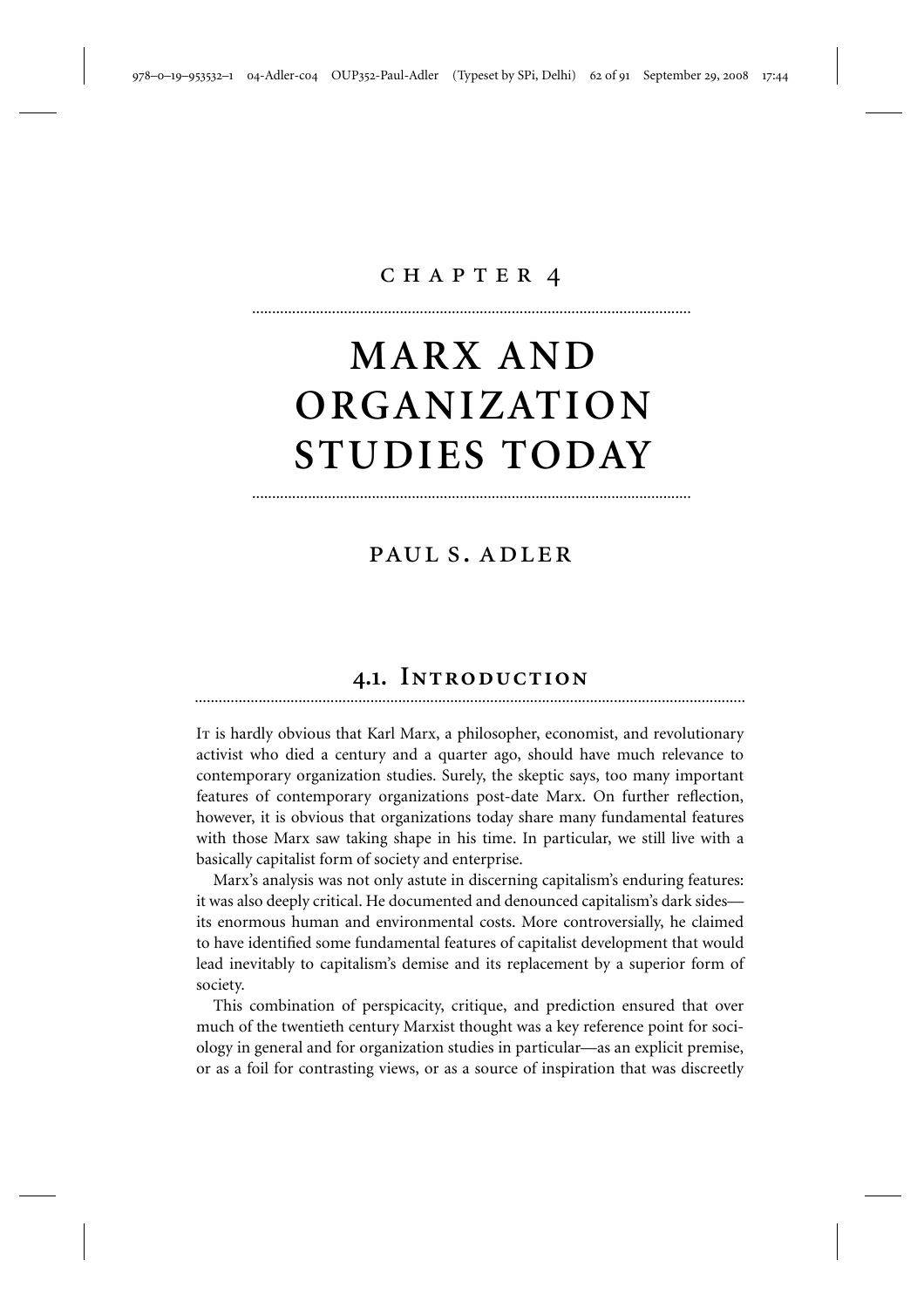# CHAPTER 4

..............................................................................................................

# **MARX AND ORGANIZATION STUDIES TODAY**

# paul s. adler

..............................................................................................................

# **4.1. INTRODUCTION**

It is hardly obvious that Karl Marx, a philosopher, economist, and revolutionary activist who died a century and a quarter ago, should have much relevance to contemporary organization studies. Surely, the skeptic says, too many important features of contemporary organizations post-date Marx. On further reflection, however, it is obvious that organizations today share many fundamental features with those Marx saw taking shape in his time. In particular, we still live with a basically capitalist form of society and enterprise.

Marx's analysis was not only astute in discerning capitalism's enduring features: it was also deeply critical. He documented and denounced capitalism's dark sides its enormous human and environmental costs. More controversially, he claimed to have identified some fundamental features of capitalist development that would lead inevitably to capitalism's demise and its replacement by a superior form of society.

This combination of perspicacity, critique, and prediction ensured that over much of the twentieth century Marxist thought was a key reference point for sociology in general and for organization studies in particular—as an explicit premise, or as a foil for contrasting views, or as a source of inspiration that was discreetly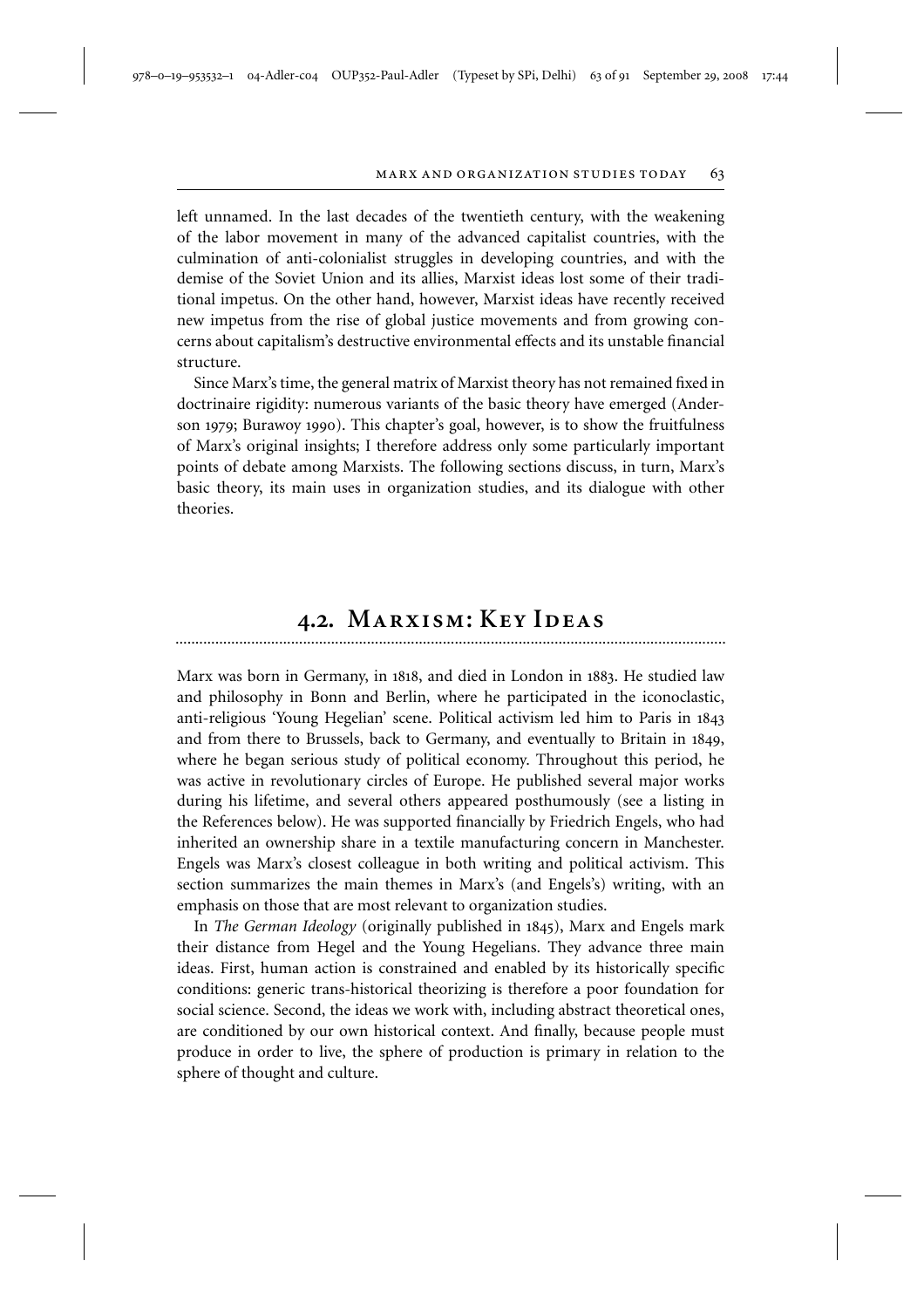left unnamed. In the last decades of the twentieth century, with the weakening of the labor movement in many of the advanced capitalist countries, with the culmination of anti-colonialist struggles in developing countries, and with the demise of the Soviet Union and its allies, Marxist ideas lost some of their traditional impetus. On the other hand, however, Marxist ideas have recently received new impetus from the rise of global justice movements and from growing concerns about capitalism's destructive environmental effects and its unstable financial structure.

Since Marx's time, the general matrix of Marxist theory has not remained fixed in doctrinaire rigidity: numerous variants of the basic theory have emerged (Anderson 1979; Burawoy 1990). This chapter's goal, however, is to show the fruitfulness of Marx's original insights; I therefore address only some particularly important points of debate among Marxists. The following sections discuss, in turn, Marx's basic theory, its main uses in organization studies, and its dialogue with other theories.

# 4.2. MARXISM: KEY IDEAS

Marx was born in Germany, in 1818, and died in London in 1883. He studied law and philosophy in Bonn and Berlin, where he participated in the iconoclastic, anti-religious 'Young Hegelian' scene. Political activism led him to Paris in 1843 and from there to Brussels, back to Germany, and eventually to Britain in 1849, where he began serious study of political economy. Throughout this period, he was active in revolutionary circles of Europe. He published several major works during his lifetime, and several others appeared posthumously (see a listing in the References below). He was supported financially by Friedrich Engels, who had inherited an ownership share in a textile manufacturing concern in Manchester. Engels was Marx's closest colleague in both writing and political activism. This section summarizes the main themes in Marx's (and Engels's) writing, with an emphasis on those that are most relevant to organization studies.

In *The German Ideology* (originally published in 1845), Marx and Engels mark their distance from Hegel and the Young Hegelians. They advance three main ideas. First, human action is constrained and enabled by its historically specific conditions: generic trans-historical theorizing is therefore a poor foundation for social science. Second, the ideas we work with, including abstract theoretical ones, are conditioned by our own historical context. And finally, because people must produce in order to live, the sphere of production is primary in relation to the sphere of thought and culture.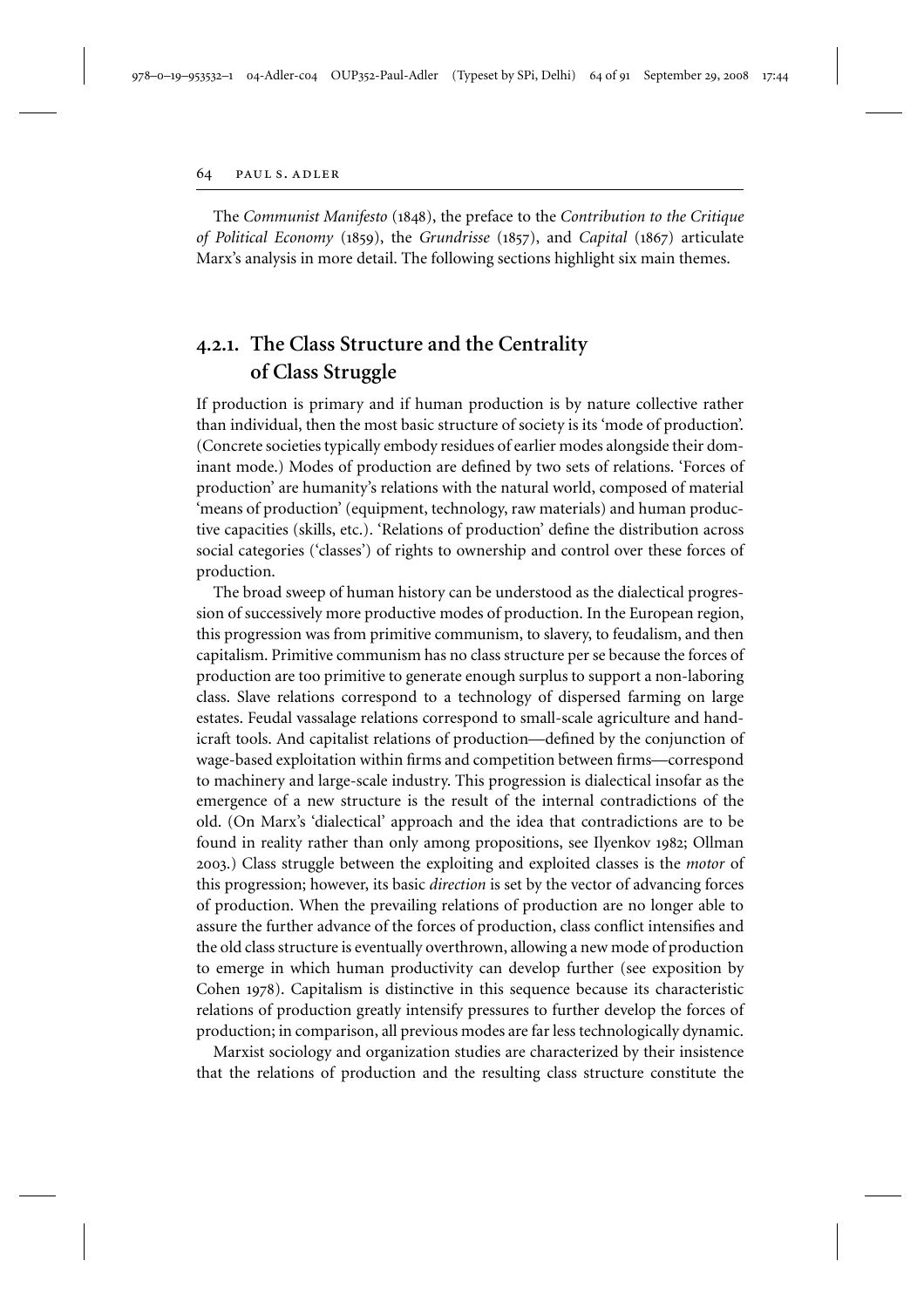The *Communist Manifesto* (1848), the preface to the *Contribution to the Critique of Political Economy* (1859), the *Grundrisse* (1857), and *Capital* (1867) articulate Marx's analysis in more detail. The following sections highlight six main themes.

# **4.2.1. The Class Structure and the Centrality of Class Struggle**

If production is primary and if human production is by nature collective rather than individual, then the most basic structure of society is its 'mode of production'. (Concrete societies typically embody residues of earlier modes alongside their dominant mode.) Modes of production are defined by two sets of relations. 'Forces of production' are humanity's relations with the natural world, composed of material 'means of production' (equipment, technology, raw materials) and human productive capacities (skills, etc.). 'Relations of production' define the distribution across social categories ('classes') of rights to ownership and control over these forces of production.

The broad sweep of human history can be understood as the dialectical progression of successively more productive modes of production. In the European region, this progression was from primitive communism, to slavery, to feudalism, and then capitalism. Primitive communism has no class structure per se because the forces of production are too primitive to generate enough surplus to support a non-laboring class. Slave relations correspond to a technology of dispersed farming on large estates. Feudal vassalage relations correspond to small-scale agriculture and handicraft tools. And capitalist relations of production—defined by the conjunction of wage-based exploitation within firms and competition between firms—correspond to machinery and large-scale industry. This progression is dialectical insofar as the emergence of a new structure is the result of the internal contradictions of the old. (On Marx's 'dialectical' approach and the idea that contradictions are to be found in reality rather than only among propositions, see Ilyenkov 1982; Ollman 2003.) Class struggle between the exploiting and exploited classes is the *motor* of this progression; however, its basic *direction* is set by the vector of advancing forces of production. When the prevailing relations of production are no longer able to assure the further advance of the forces of production, class conflict intensifies and the old class structure is eventually overthrown, allowing a new mode of production to emerge in which human productivity can develop further (see exposition by Cohen 1978). Capitalism is distinctive in this sequence because its characteristic relations of production greatly intensify pressures to further develop the forces of production; in comparison, all previous modes are far less technologically dynamic.

Marxist sociology and organization studies are characterized by their insistence that the relations of production and the resulting class structure constitute the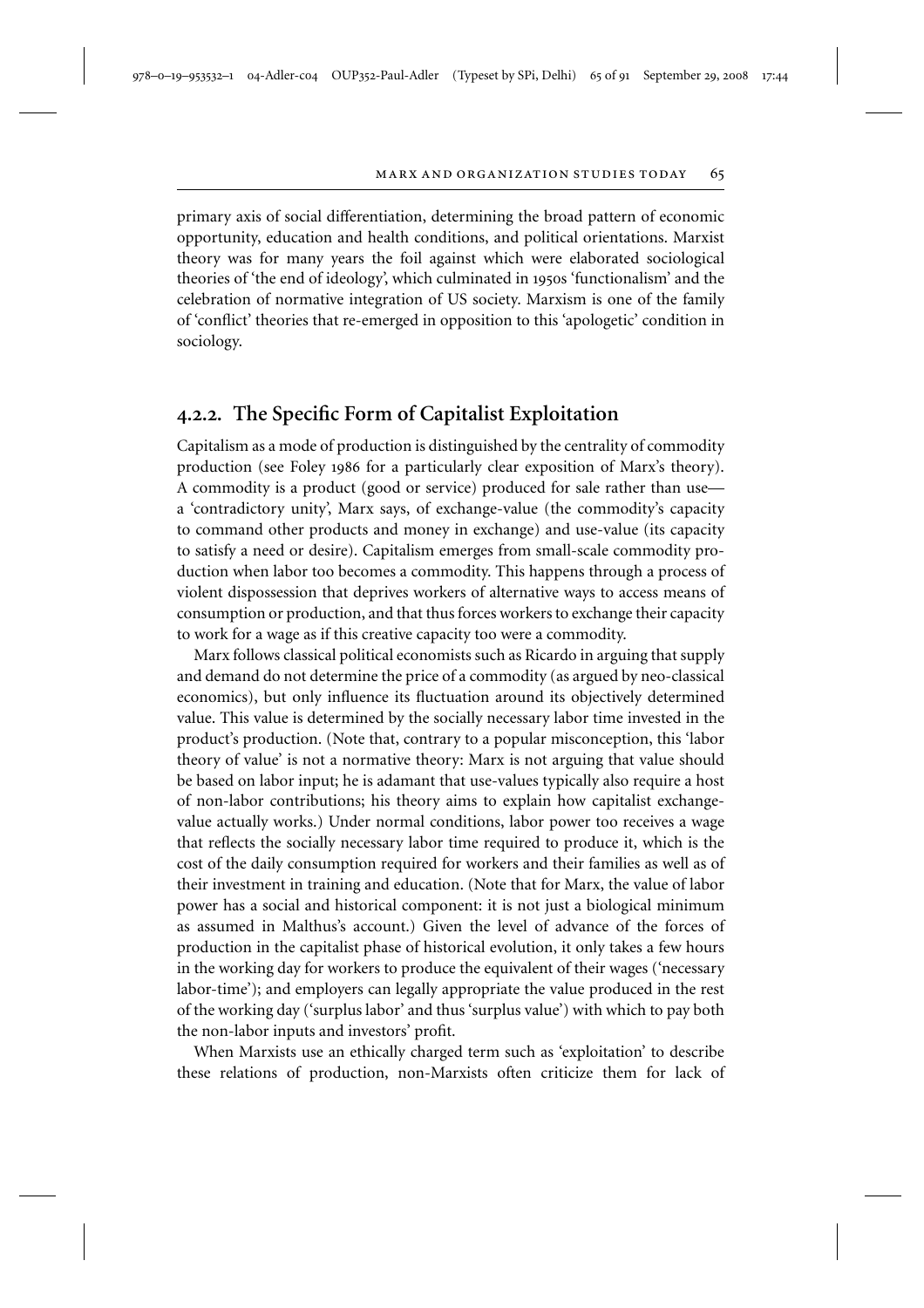primary axis of social differentiation, determining the broad pattern of economic opportunity, education and health conditions, and political orientations. Marxist theory was for many years the foil against which were elaborated sociological theories of 'the end of ideology', which culminated in 1950s 'functionalism' and the celebration of normative integration of US society. Marxism is one of the family of 'conflict' theories that re-emerged in opposition to this 'apologetic' condition in sociology.

# **4.2.2. The Specific Form of Capitalist Exploitation**

Capitalism as a mode of production is distinguished by the centrality of commodity production (see Foley 1986 for a particularly clear exposition of Marx's theory). A commodity is a product (good or service) produced for sale rather than use a 'contradictory unity', Marx says, of exchange-value (the commodity's capacity to command other products and money in exchange) and use-value (its capacity to satisfy a need or desire). Capitalism emerges from small-scale commodity production when labor too becomes a commodity. This happens through a process of violent dispossession that deprives workers of alternative ways to access means of consumption or production, and that thus forces workers to exchange their capacity to work for a wage as if this creative capacity too were a commodity.

Marx follows classical political economists such as Ricardo in arguing that supply and demand do not determine the price of a commodity (as argued by neo-classical economics), but only influence its fluctuation around its objectively determined value. This value is determined by the socially necessary labor time invested in the product's production. (Note that, contrary to a popular misconception, this 'labor theory of value' is not a normative theory: Marx is not arguing that value should be based on labor input; he is adamant that use-values typically also require a host of non-labor contributions; his theory aims to explain how capitalist exchangevalue actually works.) Under normal conditions, labor power too receives a wage that reflects the socially necessary labor time required to produce it, which is the cost of the daily consumption required for workers and their families as well as of their investment in training and education. (Note that for Marx, the value of labor power has a social and historical component: it is not just a biological minimum as assumed in Malthus's account.) Given the level of advance of the forces of production in the capitalist phase of historical evolution, it only takes a few hours in the working day for workers to produce the equivalent of their wages ('necessary labor-time'); and employers can legally appropriate the value produced in the rest of the working day ('surplus labor' and thus 'surplus value') with which to pay both the non-labor inputs and investors' profit.

When Marxists use an ethically charged term such as 'exploitation' to describe these relations of production, non-Marxists often criticize them for lack of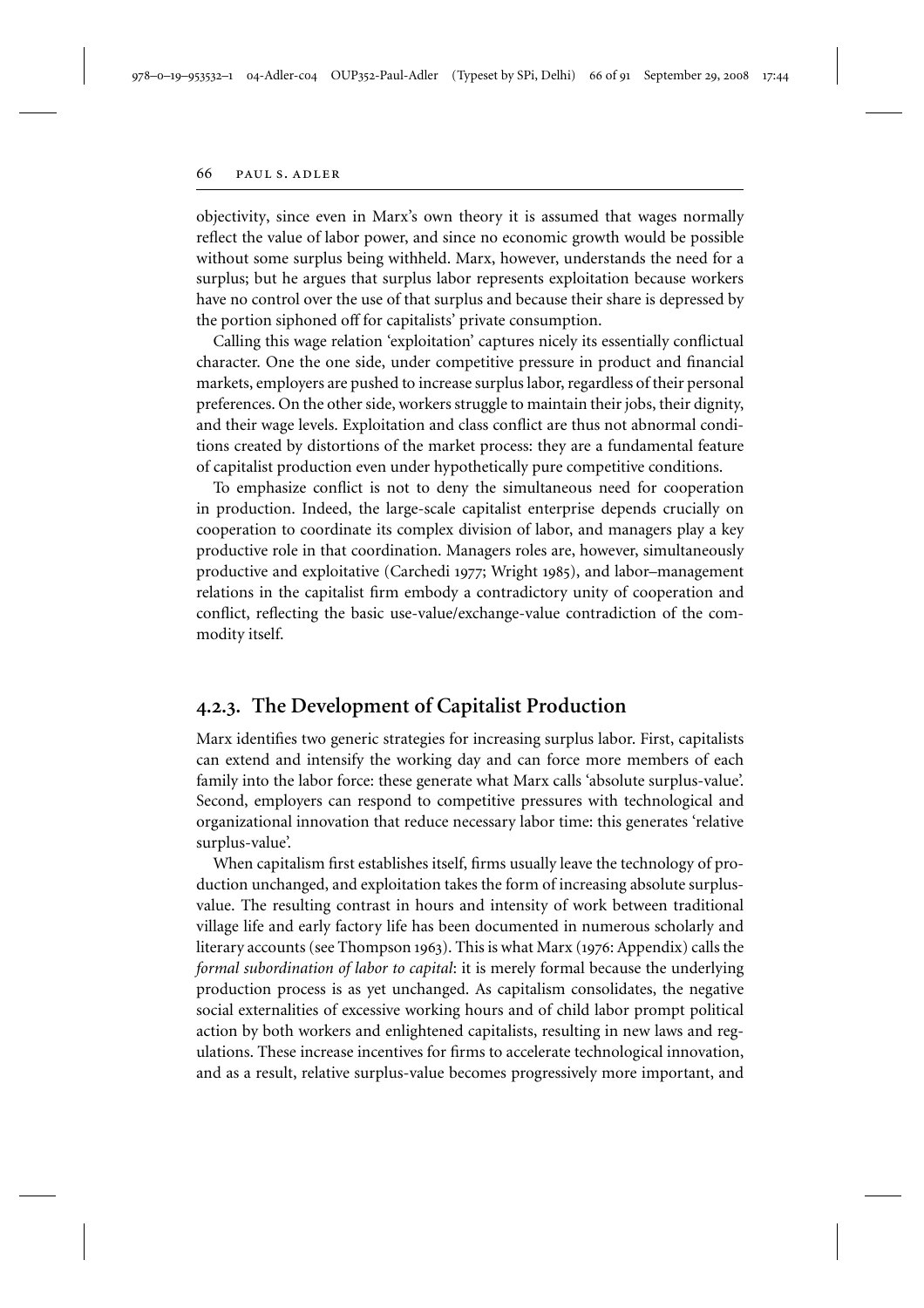objectivity, since even in Marx's own theory it is assumed that wages normally reflect the value of labor power, and since no economic growth would be possible without some surplus being withheld. Marx, however, understands the need for a surplus; but he argues that surplus labor represents exploitation because workers have no control over the use of that surplus and because their share is depressed by the portion siphoned off for capitalists' private consumption.

Calling this wage relation 'exploitation' captures nicely its essentially conflictual character. One the one side, under competitive pressure in product and financial markets, employers are pushed to increase surplus labor, regardless of their personal preferences. On the other side, workers struggle to maintain their jobs, their dignity, and their wage levels. Exploitation and class conflict are thus not abnormal conditions created by distortions of the market process: they are a fundamental feature of capitalist production even under hypothetically pure competitive conditions.

To emphasize conflict is not to deny the simultaneous need for cooperation in production. Indeed, the large-scale capitalist enterprise depends crucially on cooperation to coordinate its complex division of labor, and managers play a key productive role in that coordination. Managers roles are, however, simultaneously productive and exploitative (Carchedi 1977; Wright 1985), and labor–management relations in the capitalist firm embody a contradictory unity of cooperation and conflict, reflecting the basic use-value/exchange-value contradiction of the commodity itself.

# **4.2.3. The Development of Capitalist Production**

Marx identifies two generic strategies for increasing surplus labor. First, capitalists can extend and intensify the working day and can force more members of each family into the labor force: these generate what Marx calls 'absolute surplus-value'. Second, employers can respond to competitive pressures with technological and organizational innovation that reduce necessary labor time: this generates 'relative surplus-value'.

When capitalism first establishes itself, firms usually leave the technology of production unchanged, and exploitation takes the form of increasing absolute surplusvalue. The resulting contrast in hours and intensity of work between traditional village life and early factory life has been documented in numerous scholarly and literary accounts (see Thompson 1963). This is what Marx (1976: Appendix) calls the *formal subordination of labor to capital*: it is merely formal because the underlying production process is as yet unchanged. As capitalism consolidates, the negative social externalities of excessive working hours and of child labor prompt political action by both workers and enlightened capitalists, resulting in new laws and regulations. These increase incentives for firms to accelerate technological innovation, and as a result, relative surplus-value becomes progressively more important, and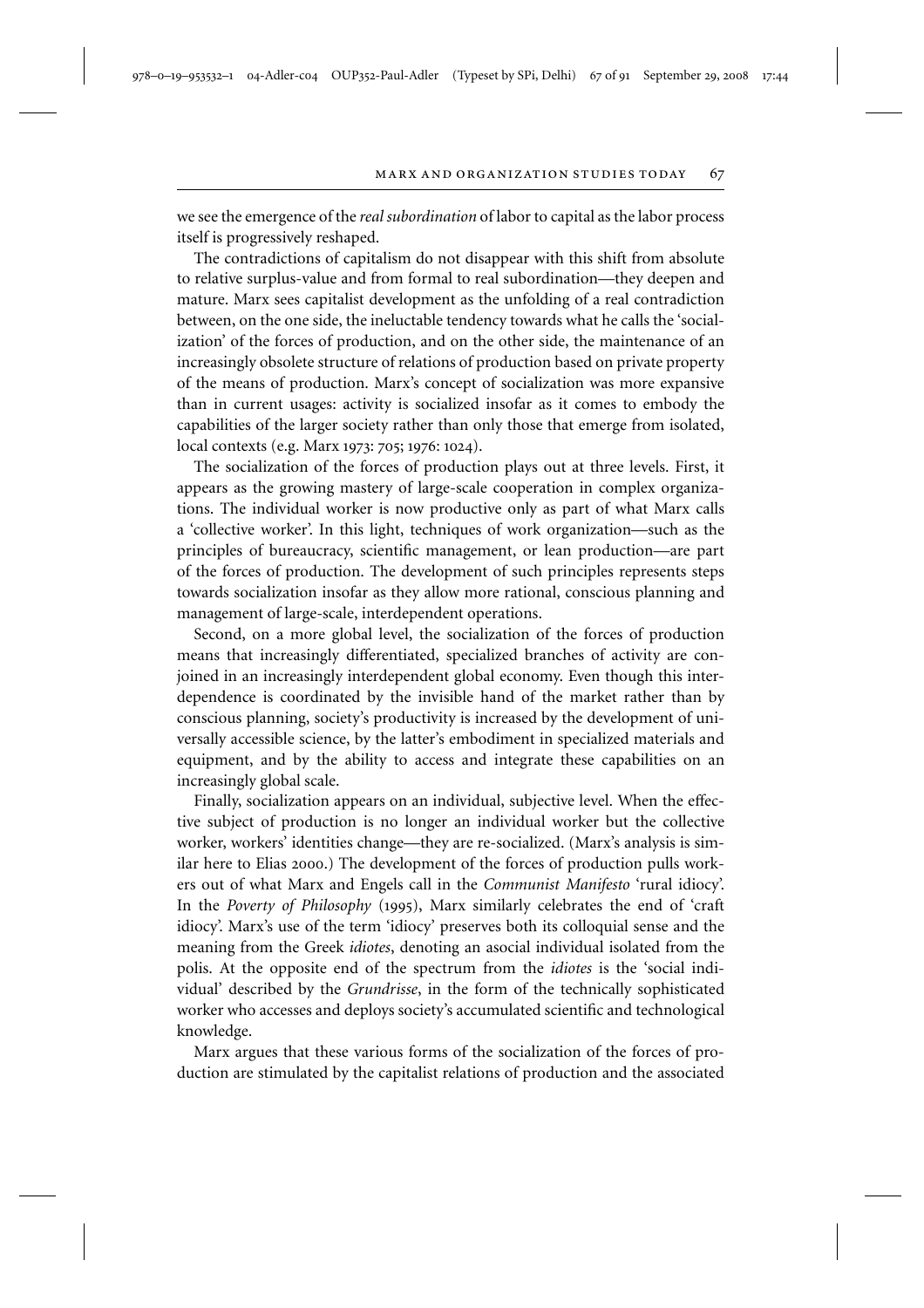we see the emergence of the *real subordination* of labor to capital as the labor process itself is progressively reshaped.

The contradictions of capitalism do not disappear with this shift from absolute to relative surplus-value and from formal to real subordination—they deepen and mature. Marx sees capitalist development as the unfolding of a real contradiction between, on the one side, the ineluctable tendency towards what he calls the 'socialization' of the forces of production, and on the other side, the maintenance of an increasingly obsolete structure of relations of production based on private property of the means of production. Marx's concept of socialization was more expansive than in current usages: activity is socialized insofar as it comes to embody the capabilities of the larger society rather than only those that emerge from isolated, local contexts (e.g. Marx 1973: 705; 1976: 1024).

The socialization of the forces of production plays out at three levels. First, it appears as the growing mastery of large-scale cooperation in complex organizations. The individual worker is now productive only as part of what Marx calls a 'collective worker'. In this light, techniques of work organization—such as the principles of bureaucracy, scientific management, or lean production—are part of the forces of production. The development of such principles represents steps towards socialization insofar as they allow more rational, conscious planning and management of large-scale, interdependent operations.

Second, on a more global level, the socialization of the forces of production means that increasingly differentiated, specialized branches of activity are conjoined in an increasingly interdependent global economy. Even though this interdependence is coordinated by the invisible hand of the market rather than by conscious planning, society's productivity is increased by the development of universally accessible science, by the latter's embodiment in specialized materials and equipment, and by the ability to access and integrate these capabilities on an increasingly global scale.

Finally, socialization appears on an individual, subjective level. When the effective subject of production is no longer an individual worker but the collective worker, workers' identities change—they are re-socialized. (Marx's analysis is similar here to Elias 2000.) The development of the forces of production pulls workers out of what Marx and Engels call in the *Communist Manifesto* 'rural idiocy'. In the *Poverty of Philosophy* (1995), Marx similarly celebrates the end of 'craft idiocy'. Marx's use of the term 'idiocy' preserves both its colloquial sense and the meaning from the Greek *idiotes*, denoting an asocial individual isolated from the polis. At the opposite end of the spectrum from the *idiotes* is the 'social individual' described by the *Grundrisse*, in the form of the technically sophisticated worker who accesses and deploys society's accumulated scientific and technological knowledge.

Marx argues that these various forms of the socialization of the forces of production are stimulated by the capitalist relations of production and the associated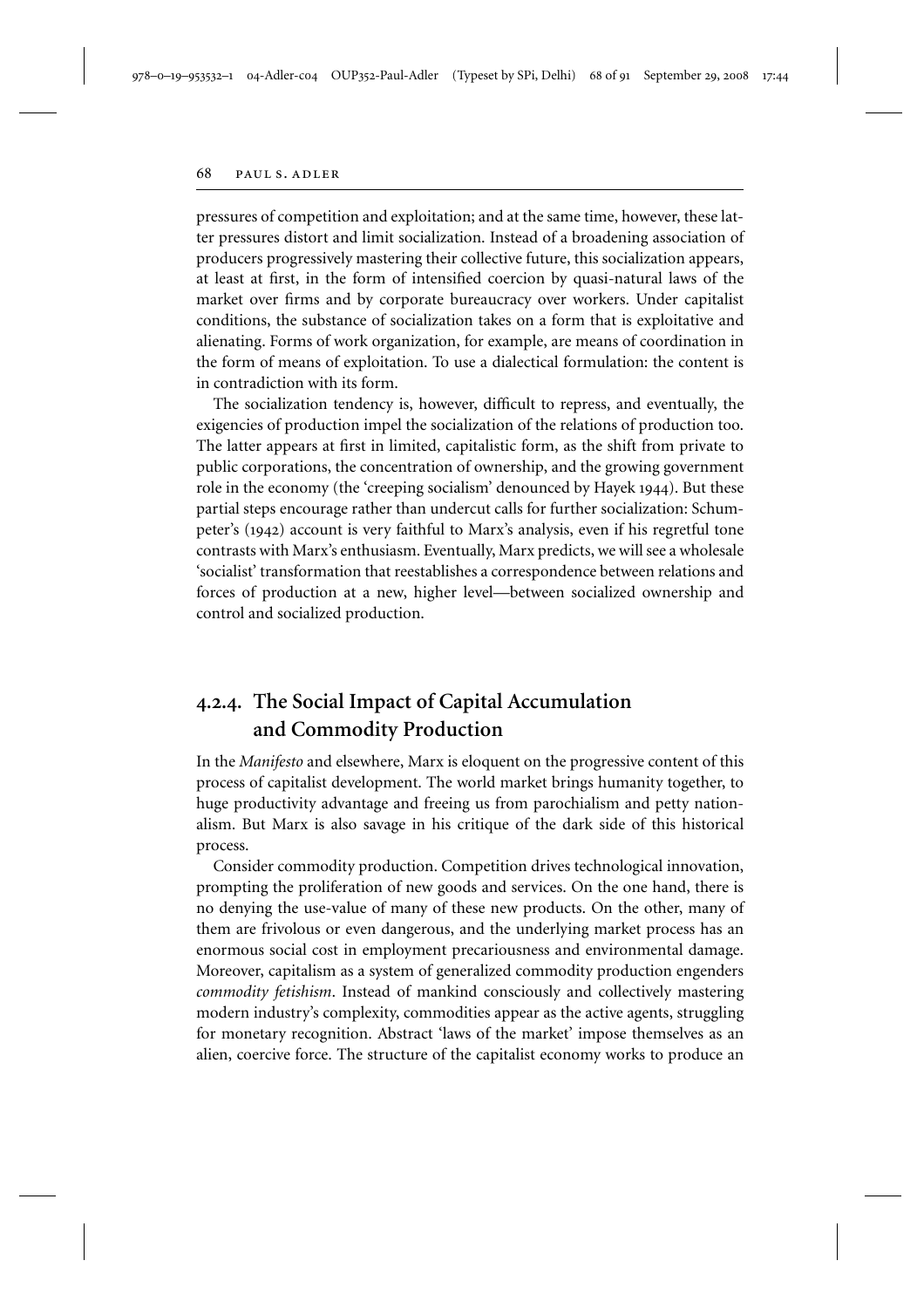pressures of competition and exploitation; and at the same time, however, these latter pressures distort and limit socialization. Instead of a broadening association of producers progressively mastering their collective future, this socialization appears, at least at first, in the form of intensified coercion by quasi-natural laws of the market over firms and by corporate bureaucracy over workers. Under capitalist conditions, the substance of socialization takes on a form that is exploitative and alienating. Forms of work organization, for example, are means of coordination in the form of means of exploitation. To use a dialectical formulation: the content is in contradiction with its form.

The socialization tendency is, however, difficult to repress, and eventually, the exigencies of production impel the socialization of the relations of production too. The latter appears at first in limited, capitalistic form, as the shift from private to public corporations, the concentration of ownership, and the growing government role in the economy (the 'creeping socialism' denounced by Hayek 1944). But these partial steps encourage rather than undercut calls for further socialization: Schumpeter's (1942) account is very faithful to Marx's analysis, even if his regretful tone contrasts with Marx's enthusiasm. Eventually, Marx predicts, we will see a wholesale 'socialist' transformation that reestablishes a correspondence between relations and forces of production at a new, higher level—between socialized ownership and control and socialized production.

# **4.2.4. The Social Impact of Capital Accumulation and Commodity Production**

In the *Manifesto* and elsewhere, Marx is eloquent on the progressive content of this process of capitalist development. The world market brings humanity together, to huge productivity advantage and freeing us from parochialism and petty nationalism. But Marx is also savage in his critique of the dark side of this historical process.

Consider commodity production. Competition drives technological innovation, prompting the proliferation of new goods and services. On the one hand, there is no denying the use-value of many of these new products. On the other, many of them are frivolous or even dangerous, and the underlying market process has an enormous social cost in employment precariousness and environmental damage. Moreover, capitalism as a system of generalized commodity production engenders *commodity fetishism*. Instead of mankind consciously and collectively mastering modern industry's complexity, commodities appear as the active agents, struggling for monetary recognition. Abstract 'laws of the market' impose themselves as an alien, coercive force. The structure of the capitalist economy works to produce an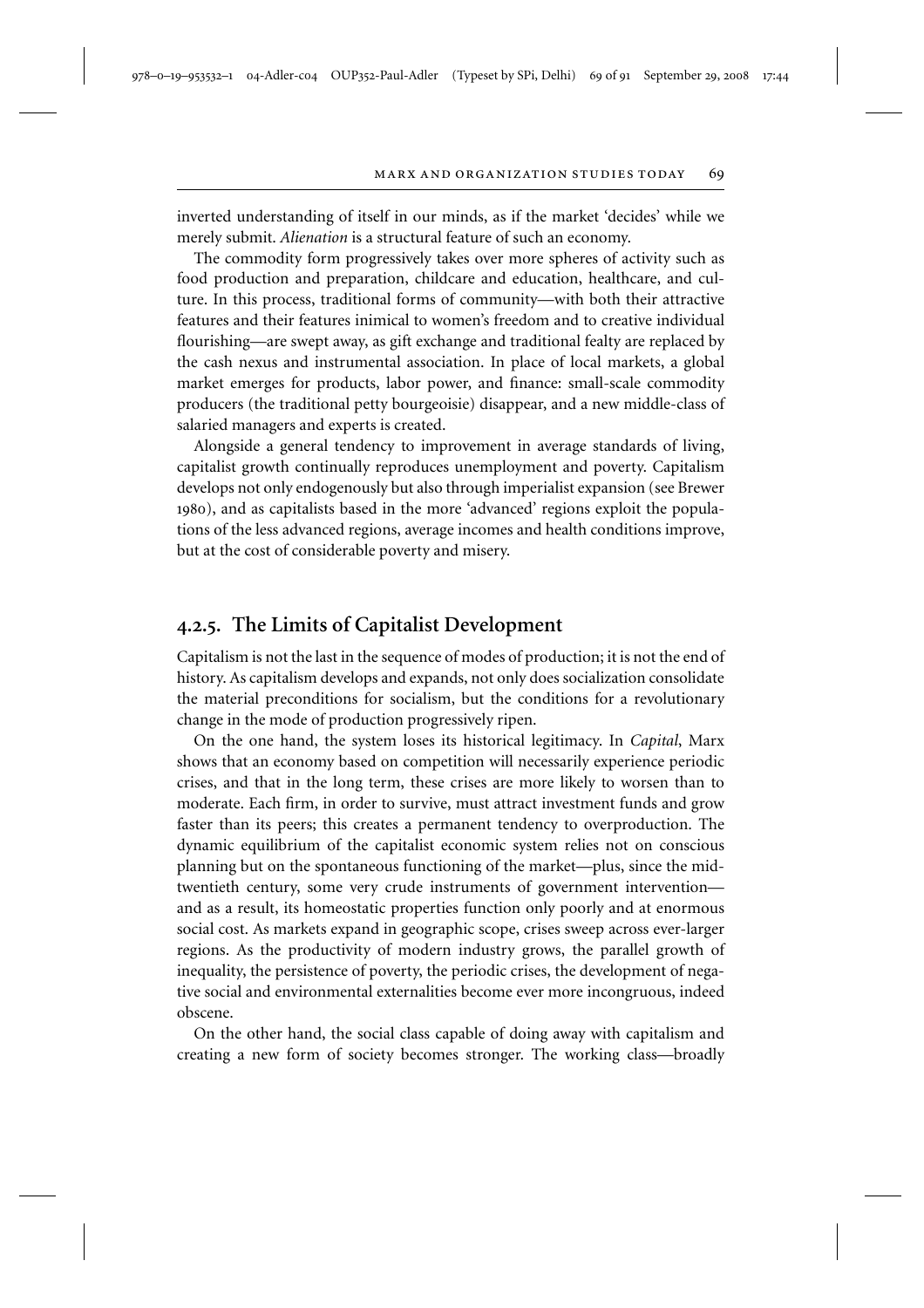inverted understanding of itself in our minds, as if the market 'decides' while we merely submit. *Alienation* is a structural feature of such an economy.

The commodity form progressively takes over more spheres of activity such as food production and preparation, childcare and education, healthcare, and culture. In this process, traditional forms of community—with both their attractive features and their features inimical to women's freedom and to creative individual flourishing—are swept away, as gift exchange and traditional fealty are replaced by the cash nexus and instrumental association. In place of local markets, a global market emerges for products, labor power, and finance: small-scale commodity producers (the traditional petty bourgeoisie) disappear, and a new middle-class of salaried managers and experts is created.

Alongside a general tendency to improvement in average standards of living, capitalist growth continually reproduces unemployment and poverty. Capitalism develops not only endogenously but also through imperialist expansion (see Brewer 1980), and as capitalists based in the more 'advanced' regions exploit the populations of the less advanced regions, average incomes and health conditions improve, but at the cost of considerable poverty and misery.

# **4.2.5. The Limits of Capitalist Development**

Capitalism is not the last in the sequence of modes of production; it is not the end of history. As capitalism develops and expands, not only does socialization consolidate the material preconditions for socialism, but the conditions for a revolutionary change in the mode of production progressively ripen.

On the one hand, the system loses its historical legitimacy. In *Capital*, Marx shows that an economy based on competition will necessarily experience periodic crises, and that in the long term, these crises are more likely to worsen than to moderate. Each firm, in order to survive, must attract investment funds and grow faster than its peers; this creates a permanent tendency to overproduction. The dynamic equilibrium of the capitalist economic system relies not on conscious planning but on the spontaneous functioning of the market—plus, since the midtwentieth century, some very crude instruments of government intervention and as a result, its homeostatic properties function only poorly and at enormous social cost. As markets expand in geographic scope, crises sweep across ever-larger regions. As the productivity of modern industry grows, the parallel growth of inequality, the persistence of poverty, the periodic crises, the development of negative social and environmental externalities become ever more incongruous, indeed obscene.

On the other hand, the social class capable of doing away with capitalism and creating a new form of society becomes stronger. The working class—broadly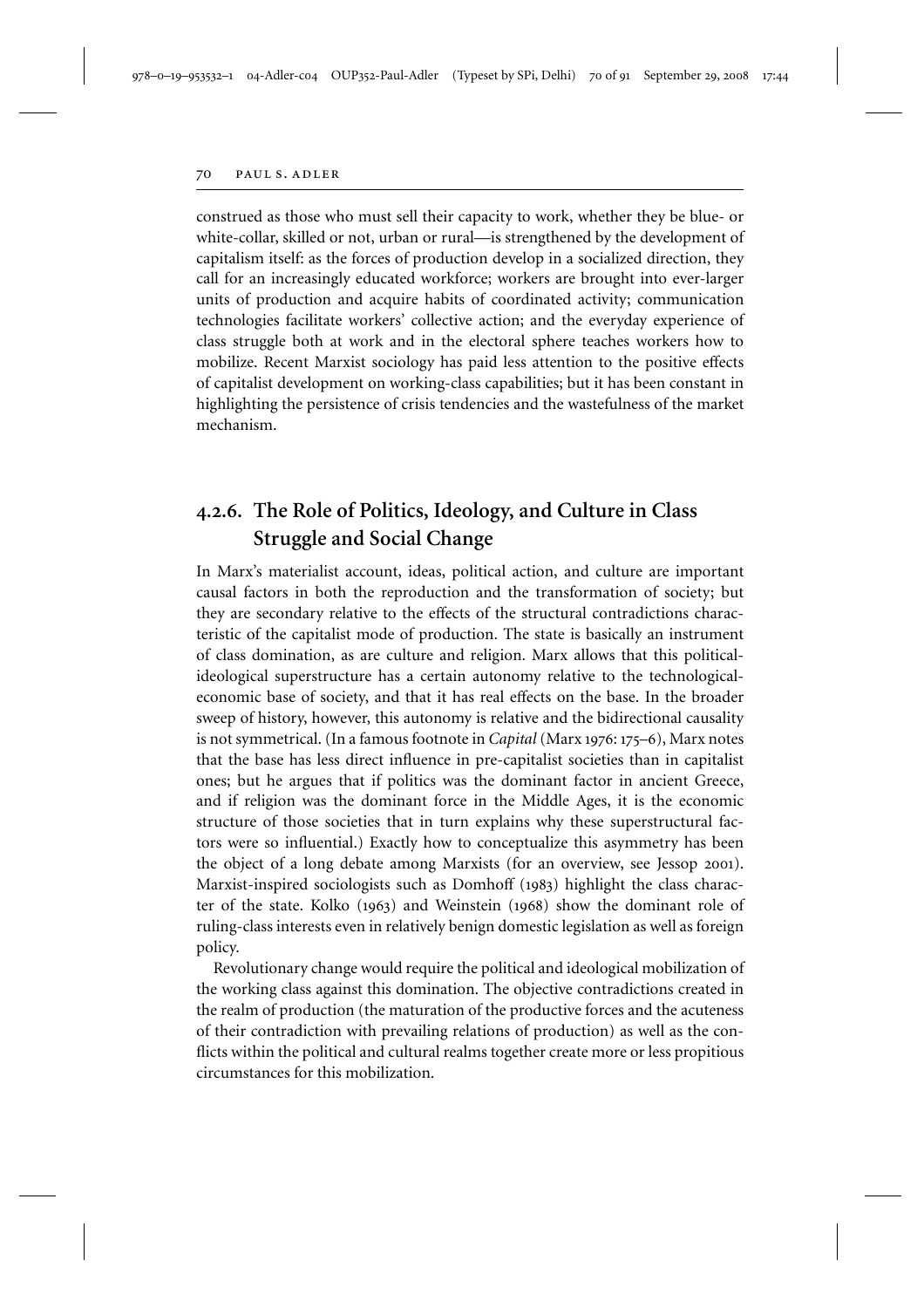construed as those who must sell their capacity to work, whether they be blue- or white-collar, skilled or not, urban or rural—is strengthened by the development of capitalism itself: as the forces of production develop in a socialized direction, they call for an increasingly educated workforce; workers are brought into ever-larger units of production and acquire habits of coordinated activity; communication technologies facilitate workers' collective action; and the everyday experience of class struggle both at work and in the electoral sphere teaches workers how to mobilize. Recent Marxist sociology has paid less attention to the positive effects of capitalist development on working-class capabilities; but it has been constant in highlighting the persistence of crisis tendencies and the wastefulness of the market mechanism.

# **4.2.6. The Role of Politics, Ideology, and Culture in Class Struggle and Social Change**

In Marx's materialist account, ideas, political action, and culture are important causal factors in both the reproduction and the transformation of society; but they are secondary relative to the effects of the structural contradictions characteristic of the capitalist mode of production. The state is basically an instrument of class domination, as are culture and religion. Marx allows that this politicalideological superstructure has a certain autonomy relative to the technologicaleconomic base of society, and that it has real effects on the base. In the broader sweep of history, however, this autonomy is relative and the bidirectional causality is not symmetrical. (In a famous footnote in *Capital* (Marx 1976: 175–6), Marx notes that the base has less direct influence in pre-capitalist societies than in capitalist ones; but he argues that if politics was the dominant factor in ancient Greece, and if religion was the dominant force in the Middle Ages, it is the economic structure of those societies that in turn explains why these superstructural factors were so influential.) Exactly how to conceptualize this asymmetry has been the object of a long debate among Marxists (for an overview, see Jessop 2001). Marxist-inspired sociologists such as Domhoff (1983) highlight the class character of the state. Kolko (1963) and Weinstein (1968) show the dominant role of ruling-class interests even in relatively benign domestic legislation as well as foreign policy.

Revolutionary change would require the political and ideological mobilization of the working class against this domination. The objective contradictions created in the realm of production (the maturation of the productive forces and the acuteness of their contradiction with prevailing relations of production) as well as the conflicts within the political and cultural realms together create more or less propitious circumstances for this mobilization.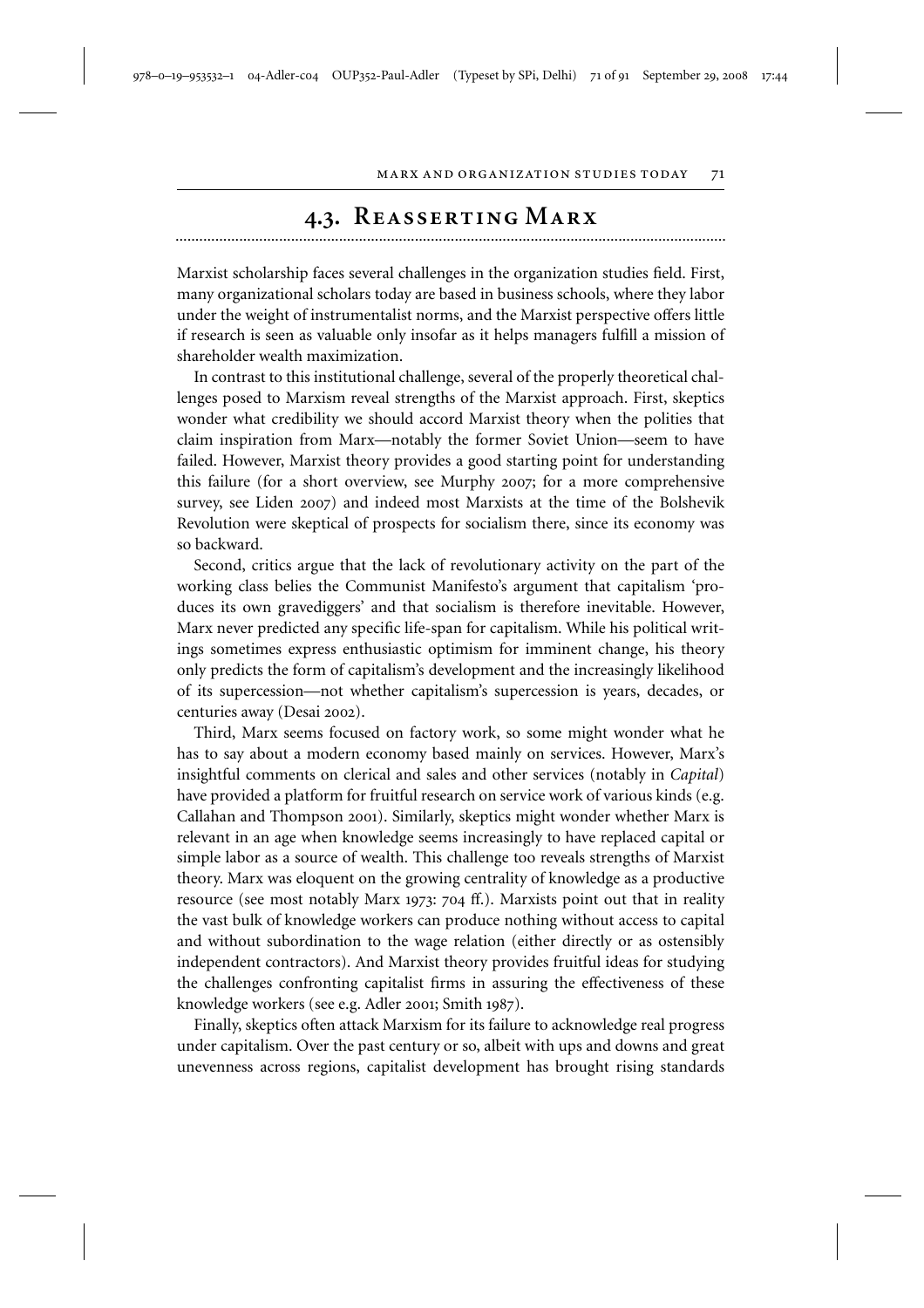# **4.3. REASSERTING MARX**

Marxist scholarship faces several challenges in the organization studies field. First, many organizational scholars today are based in business schools, where they labor under the weight of instrumentalist norms, and the Marxist perspective offers little if research is seen as valuable only insofar as it helps managers fulfill a mission of shareholder wealth maximization.

In contrast to this institutional challenge, several of the properly theoretical challenges posed to Marxism reveal strengths of the Marxist approach. First, skeptics wonder what credibility we should accord Marxist theory when the polities that claim inspiration from Marx—notably the former Soviet Union—seem to have failed. However, Marxist theory provides a good starting point for understanding this failure (for a short overview, see Murphy 2007; for a more comprehensive survey, see Liden 2007) and indeed most Marxists at the time of the Bolshevik Revolution were skeptical of prospects for socialism there, since its economy was so backward.

Second, critics argue that the lack of revolutionary activity on the part of the working class belies the Communist Manifesto's argument that capitalism 'produces its own gravediggers' and that socialism is therefore inevitable. However, Marx never predicted any specific life-span for capitalism. While his political writings sometimes express enthusiastic optimism for imminent change, his theory only predicts the form of capitalism's development and the increasingly likelihood of its supercession—not whether capitalism's supercession is years, decades, or centuries away (Desai 2002).

Third, Marx seems focused on factory work, so some might wonder what he has to say about a modern economy based mainly on services. However, Marx's insightful comments on clerical and sales and other services (notably in *Capital*) have provided a platform for fruitful research on service work of various kinds (e.g. Callahan and Thompson 2001). Similarly, skeptics might wonder whether Marx is relevant in an age when knowledge seems increasingly to have replaced capital or simple labor as a source of wealth. This challenge too reveals strengths of Marxist theory. Marx was eloquent on the growing centrality of knowledge as a productive resource (see most notably Marx 1973: 704 ff.). Marxists point out that in reality the vast bulk of knowledge workers can produce nothing without access to capital and without subordination to the wage relation (either directly or as ostensibly independent contractors). And Marxist theory provides fruitful ideas for studying the challenges confronting capitalist firms in assuring the effectiveness of these knowledge workers (see e.g. Adler 2001; Smith 1987).

Finally, skeptics often attack Marxism for its failure to acknowledge real progress under capitalism. Over the past century or so, albeit with ups and downs and great unevenness across regions, capitalist development has brought rising standards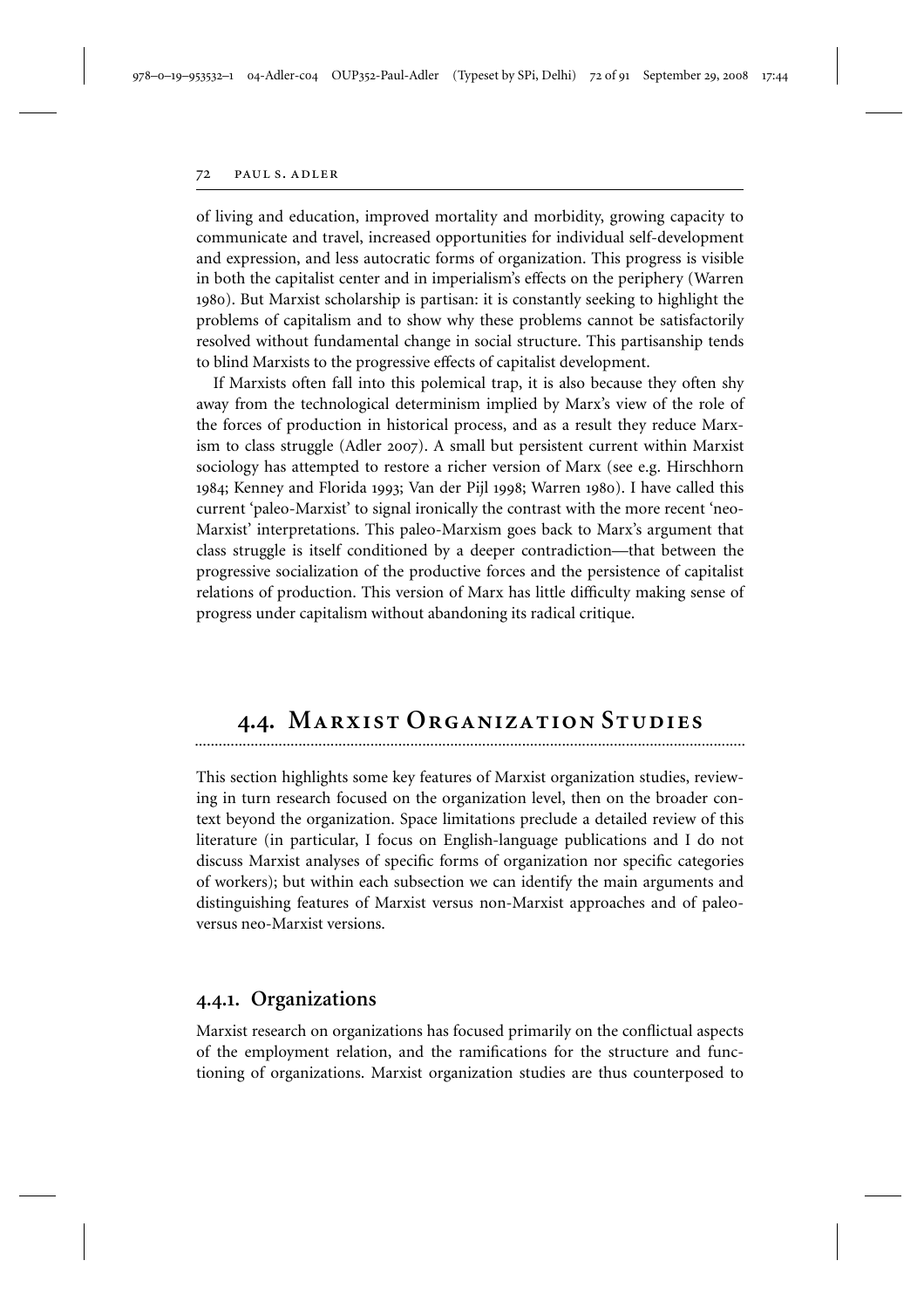of living and education, improved mortality and morbidity, growing capacity to communicate and travel, increased opportunities for individual self-development and expression, and less autocratic forms of organization. This progress is visible in both the capitalist center and in imperialism's effects on the periphery (Warren 1980). But Marxist scholarship is partisan: it is constantly seeking to highlight the problems of capitalism and to show why these problems cannot be satisfactorily resolved without fundamental change in social structure. This partisanship tends to blind Marxists to the progressive effects of capitalist development.

If Marxists often fall into this polemical trap, it is also because they often shy away from the technological determinism implied by Marx's view of the role of the forces of production in historical process, and as a result they reduce Marxism to class struggle (Adler 2007). A small but persistent current within Marxist sociology has attempted to restore a richer version of Marx (see e.g. Hirschhorn 1984; Kenney and Florida 1993; Van der Pijl 1998; Warren 1980). I have called this current 'paleo-Marxist' to signal ironically the contrast with the more recent 'neo-Marxist' interpretations. This paleo-Marxism goes back to Marx's argument that class struggle is itself conditioned by a deeper contradiction—that between the progressive socialization of the productive forces and the persistence of capitalist relations of production. This version of Marx has little difficulty making sense of progress under capitalism without abandoning its radical critique.

# 4.4. MARXIST ORGANIZATION STUDIES

This section highlights some key features of Marxist organization studies, reviewing in turn research focused on the organization level, then on the broader context beyond the organization. Space limitations preclude a detailed review of this literature (in particular, I focus on English-language publications and I do not discuss Marxist analyses of specific forms of organization nor specific categories of workers); but within each subsection we can identify the main arguments and distinguishing features of Marxist versus non-Marxist approaches and of paleoversus neo-Marxist versions.

# **4.4.1. Organizations**

Marxist research on organizations has focused primarily on the conflictual aspects of the employment relation, and the ramifications for the structure and functioning of organizations. Marxist organization studies are thus counterposed to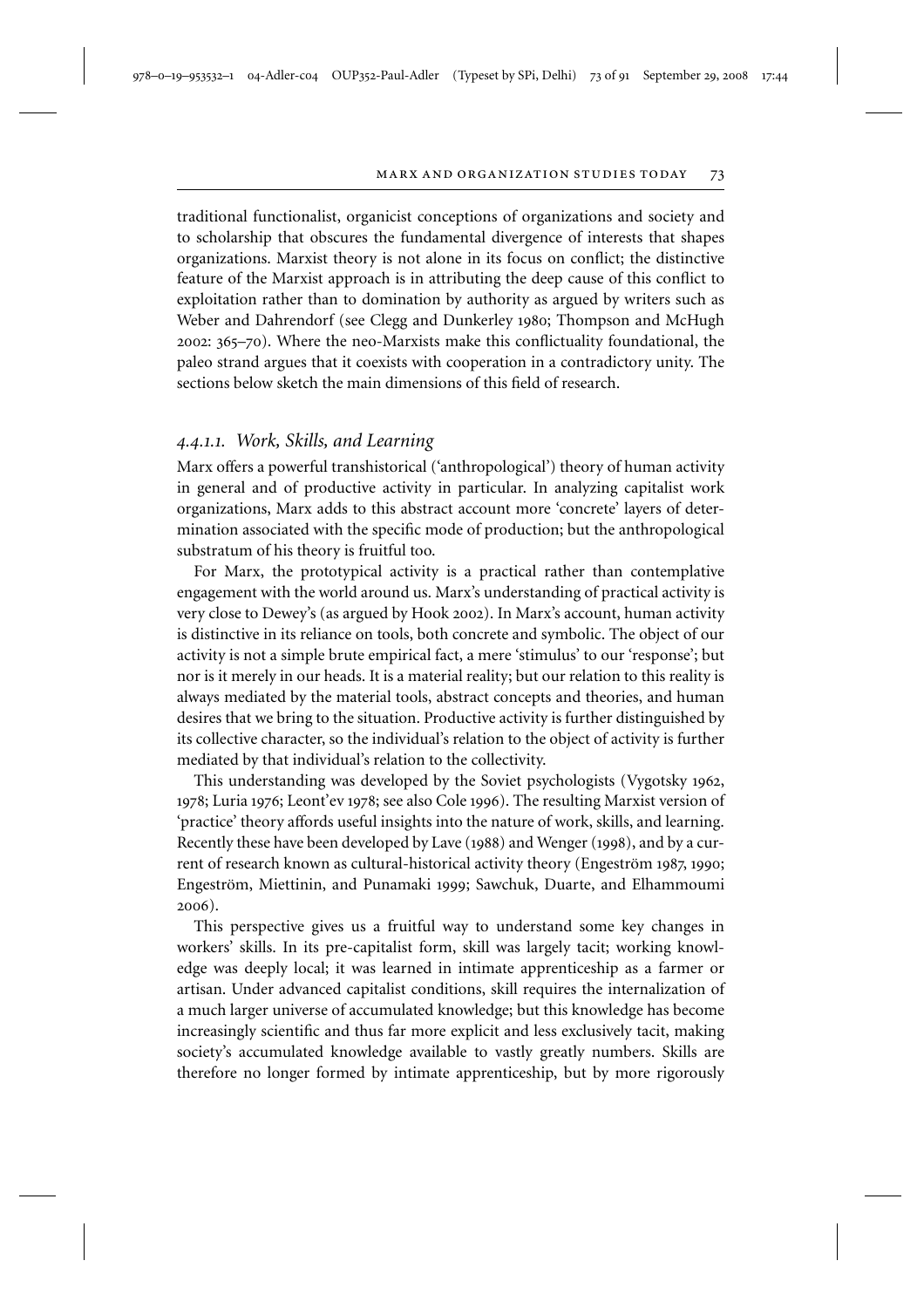traditional functionalist, organicist conceptions of organizations and society and to scholarship that obscures the fundamental divergence of interests that shapes organizations. Marxist theory is not alone in its focus on conflict; the distinctive feature of the Marxist approach is in attributing the deep cause of this conflict to exploitation rather than to domination by authority as argued by writers such as Weber and Dahrendorf (see Clegg and Dunkerley 1980; Thompson and McHugh 2002: 365–70). Where the neo-Marxists make this conflictuality foundational, the paleo strand argues that it coexists with cooperation in a contradictory unity. The sections below sketch the main dimensions of this field of research.

# *4.4.1.1. Work, Skills, and Learning*

Marx offers a powerful transhistorical ('anthropological') theory of human activity in general and of productive activity in particular. In analyzing capitalist work organizations, Marx adds to this abstract account more 'concrete' layers of determination associated with the specific mode of production; but the anthropological substratum of his theory is fruitful too.

For Marx, the prototypical activity is a practical rather than contemplative engagement with the world around us. Marx's understanding of practical activity is very close to Dewey's (as argued by Hook 2002). In Marx's account, human activity is distinctive in its reliance on tools, both concrete and symbolic. The object of our activity is not a simple brute empirical fact, a mere 'stimulus' to our 'response'; but nor is it merely in our heads. It is a material reality; but our relation to this reality is always mediated by the material tools, abstract concepts and theories, and human desires that we bring to the situation. Productive activity is further distinguished by its collective character, so the individual's relation to the object of activity is further mediated by that individual's relation to the collectivity.

This understanding was developed by the Soviet psychologists (Vygotsky 1962, 1978; Luria 1976; Leont'ev 1978; see also Cole 1996). The resulting Marxist version of 'practice' theory affords useful insights into the nature of work, skills, and learning. Recently these have been developed by Lave (1988) and Wenger (1998), and by a current of research known as cultural-historical activity theory (Engeström 1987, 1990; Engeström, Miettinin, and Punamaki 1999; Sawchuk, Duarte, and Elhammoumi 2006).

This perspective gives us a fruitful way to understand some key changes in workers' skills. In its pre-capitalist form, skill was largely tacit; working knowledge was deeply local; it was learned in intimate apprenticeship as a farmer or artisan. Under advanced capitalist conditions, skill requires the internalization of a much larger universe of accumulated knowledge; but this knowledge has become increasingly scientific and thus far more explicit and less exclusively tacit, making society's accumulated knowledge available to vastly greatly numbers. Skills are therefore no longer formed by intimate apprenticeship, but by more rigorously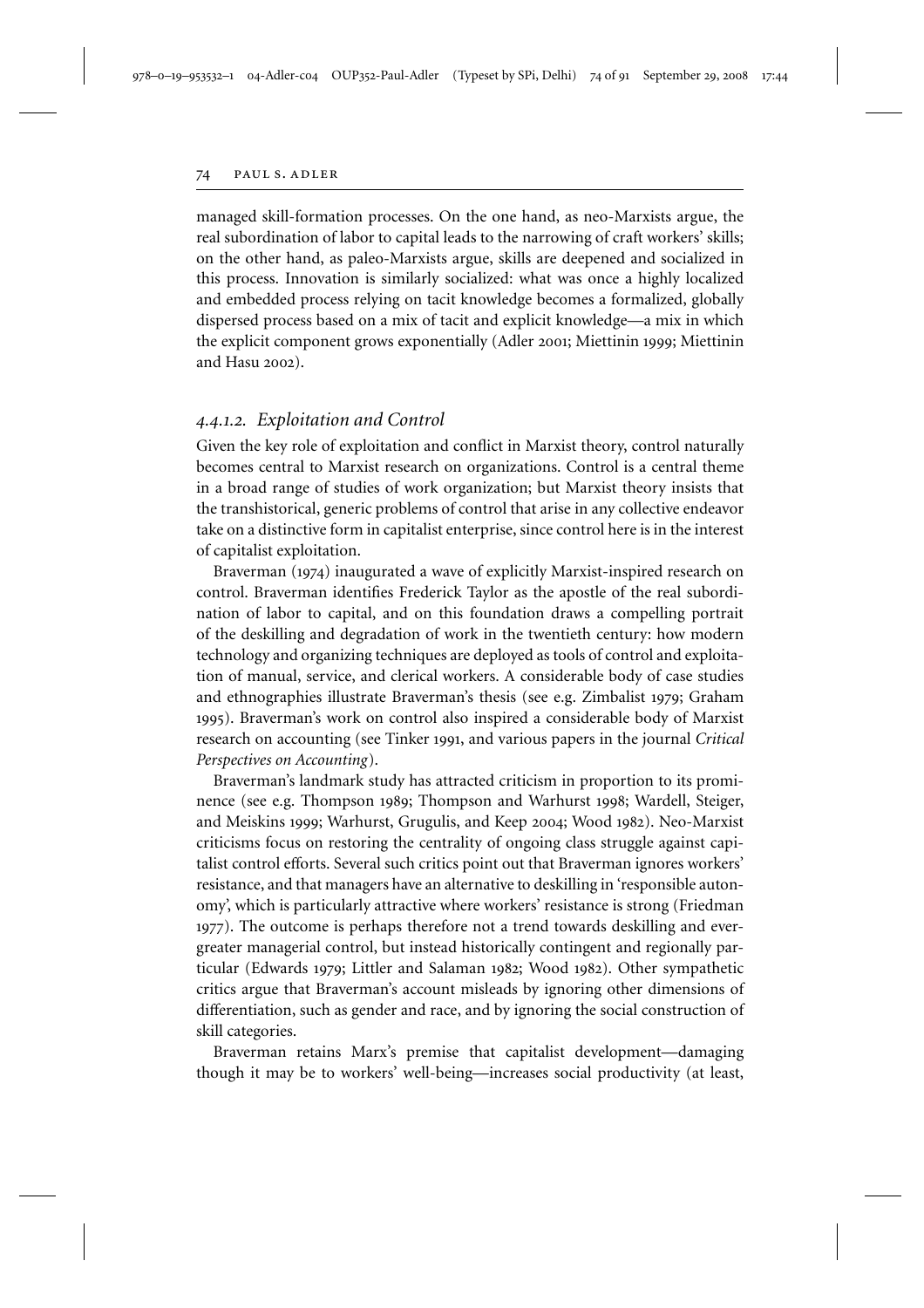managed skill-formation processes. On the one hand, as neo-Marxists argue, the real subordination of labor to capital leads to the narrowing of craft workers' skills; on the other hand, as paleo-Marxists argue, skills are deepened and socialized in this process. Innovation is similarly socialized: what was once a highly localized and embedded process relying on tacit knowledge becomes a formalized, globally dispersed process based on a mix of tacit and explicit knowledge—a mix in which the explicit component grows exponentially (Adler 2001; Miettinin 1999; Miettinin and Hasu 2002).

# *4.4.1.2. Exploitation and Control*

Given the key role of exploitation and conflict in Marxist theory, control naturally becomes central to Marxist research on organizations. Control is a central theme in a broad range of studies of work organization; but Marxist theory insists that the transhistorical, generic problems of control that arise in any collective endeavor take on a distinctive form in capitalist enterprise, since control here is in the interest of capitalist exploitation.

Braverman (1974) inaugurated a wave of explicitly Marxist-inspired research on control. Braverman identifies Frederick Taylor as the apostle of the real subordination of labor to capital, and on this foundation draws a compelling portrait of the deskilling and degradation of work in the twentieth century: how modern technology and organizing techniques are deployed as tools of control and exploitation of manual, service, and clerical workers. A considerable body of case studies and ethnographies illustrate Braverman's thesis (see e.g. Zimbalist 1979; Graham 1995). Braverman's work on control also inspired a considerable body of Marxist research on accounting (see Tinker 1991, and various papers in the journal *Critical Perspectives on Accounting*).

Braverman's landmark study has attracted criticism in proportion to its prominence (see e.g. Thompson 1989; Thompson and Warhurst 1998; Wardell, Steiger, and Meiskins 1999; Warhurst, Grugulis, and Keep 2004; Wood 1982). Neo-Marxist criticisms focus on restoring the centrality of ongoing class struggle against capitalist control efforts. Several such critics point out that Braverman ignores workers' resistance, and that managers have an alternative to deskilling in 'responsible autonomy', which is particularly attractive where workers' resistance is strong (Friedman 1977). The outcome is perhaps therefore not a trend towards deskilling and evergreater managerial control, but instead historically contingent and regionally particular (Edwards 1979; Littler and Salaman 1982; Wood 1982). Other sympathetic critics argue that Braverman's account misleads by ignoring other dimensions of differentiation, such as gender and race, and by ignoring the social construction of skill categories.

Braverman retains Marx's premise that capitalist development—damaging though it may be to workers' well-being—increases social productivity (at least,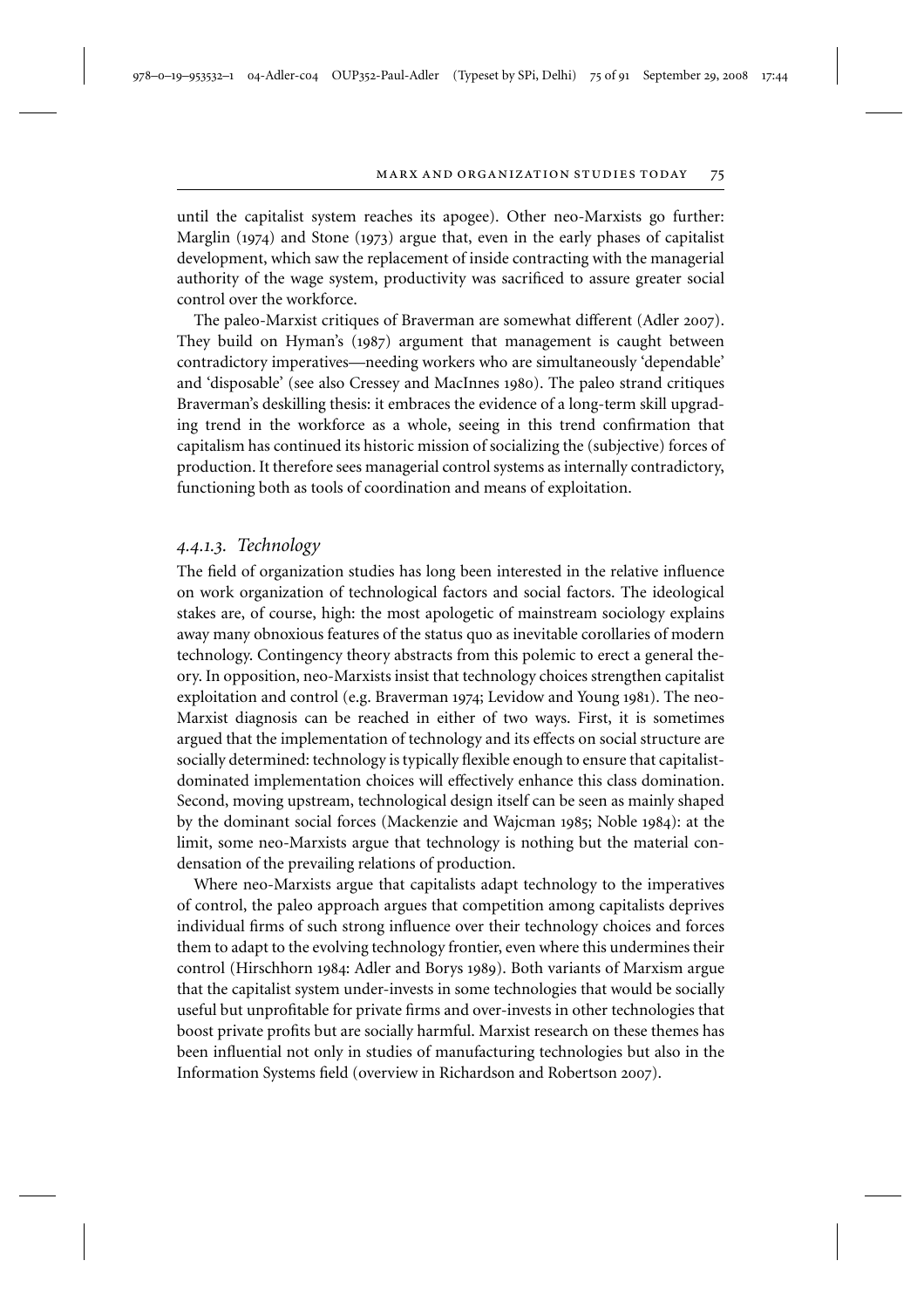until the capitalist system reaches its apogee). Other neo-Marxists go further: Marglin (1974) and Stone (1973) argue that, even in the early phases of capitalist development, which saw the replacement of inside contracting with the managerial authority of the wage system, productivity was sacrificed to assure greater social control over the workforce.

The paleo-Marxist critiques of Braverman are somewhat different (Adler 2007). They build on Hyman's (1987) argument that management is caught between contradictory imperatives—needing workers who are simultaneously 'dependable' and 'disposable' (see also Cressey and MacInnes 1980). The paleo strand critiques Braverman's deskilling thesis: it embraces the evidence of a long-term skill upgrading trend in the workforce as a whole, seeing in this trend confirmation that capitalism has continued its historic mission of socializing the (subjective) forces of production. It therefore sees managerial control systems as internally contradictory, functioning both as tools of coordination and means of exploitation.

# *4.4.1.3. Technology*

The field of organization studies has long been interested in the relative influence on work organization of technological factors and social factors. The ideological stakes are, of course, high: the most apologetic of mainstream sociology explains away many obnoxious features of the status quo as inevitable corollaries of modern technology. Contingency theory abstracts from this polemic to erect a general theory. In opposition, neo-Marxists insist that technology choices strengthen capitalist exploitation and control (e.g. Braverman 1974; Levidow and Young 1981). The neo-Marxist diagnosis can be reached in either of two ways. First, it is sometimes argued that the implementation of technology and its effects on social structure are socially determined: technology is typically flexible enough to ensure that capitalistdominated implementation choices will effectively enhance this class domination. Second, moving upstream, technological design itself can be seen as mainly shaped by the dominant social forces (Mackenzie and Wajcman 1985; Noble 1984): at the limit, some neo-Marxists argue that technology is nothing but the material condensation of the prevailing relations of production.

Where neo-Marxists argue that capitalists adapt technology to the imperatives of control, the paleo approach argues that competition among capitalists deprives individual firms of such strong influence over their technology choices and forces them to adapt to the evolving technology frontier, even where this undermines their control (Hirschhorn 1984: Adler and Borys 1989). Both variants of Marxism argue that the capitalist system under-invests in some technologies that would be socially useful but unprofitable for private firms and over-invests in other technologies that boost private profits but are socially harmful. Marxist research on these themes has been influential not only in studies of manufacturing technologies but also in the Information Systems field (overview in Richardson and Robertson 2007).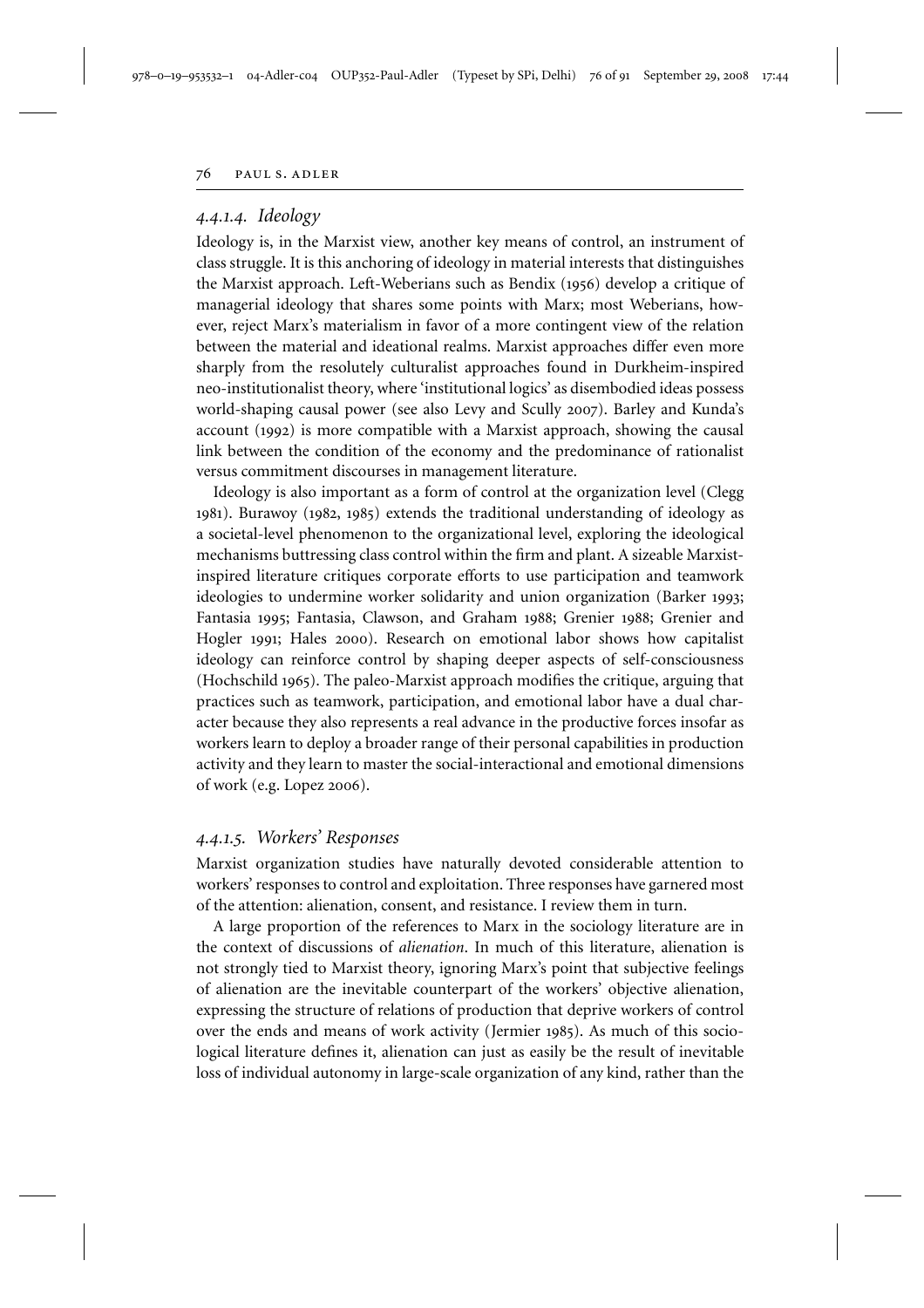# *4.4.1.4. Ideology*

Ideology is, in the Marxist view, another key means of control, an instrument of class struggle. It is this anchoring of ideology in material interests that distinguishes the Marxist approach. Left-Weberians such as Bendix (1956) develop a critique of managerial ideology that shares some points with Marx; most Weberians, however, reject Marx's materialism in favor of a more contingent view of the relation between the material and ideational realms. Marxist approaches differ even more sharply from the resolutely culturalist approaches found in Durkheim-inspired neo-institutionalist theory, where 'institutional logics' as disembodied ideas possess world-shaping causal power (see also Levy and Scully 2007). Barley and Kunda's account (1992) is more compatible with a Marxist approach, showing the causal link between the condition of the economy and the predominance of rationalist versus commitment discourses in management literature.

Ideology is also important as a form of control at the organization level (Clegg 1981). Burawoy (1982, 1985) extends the traditional understanding of ideology as a societal-level phenomenon to the organizational level, exploring the ideological mechanisms buttressing class control within the firm and plant. A sizeable Marxistinspired literature critiques corporate efforts to use participation and teamwork ideologies to undermine worker solidarity and union organization (Barker 1993; Fantasia 1995; Fantasia, Clawson, and Graham 1988; Grenier 1988; Grenier and Hogler 1991; Hales 2000). Research on emotional labor shows how capitalist ideology can reinforce control by shaping deeper aspects of self-consciousness (Hochschild 1965). The paleo-Marxist approach modifies the critique, arguing that practices such as teamwork, participation, and emotional labor have a dual character because they also represents a real advance in the productive forces insofar as workers learn to deploy a broader range of their personal capabilities in production activity and they learn to master the social-interactional and emotional dimensions of work (e.g. Lopez 2006).

# *4.4.1.5. Workers' Responses*

Marxist organization studies have naturally devoted considerable attention to workers' responses to control and exploitation. Three responses have garnered most of the attention: alienation, consent, and resistance. I review them in turn.

A large proportion of the references to Marx in the sociology literature are in the context of discussions of *alienation*. In much of this literature, alienation is not strongly tied to Marxist theory, ignoring Marx's point that subjective feelings of alienation are the inevitable counterpart of the workers' objective alienation, expressing the structure of relations of production that deprive workers of control over the ends and means of work activity (Jermier 1985). As much of this sociological literature defines it, alienation can just as easily be the result of inevitable loss of individual autonomy in large-scale organization of any kind, rather than the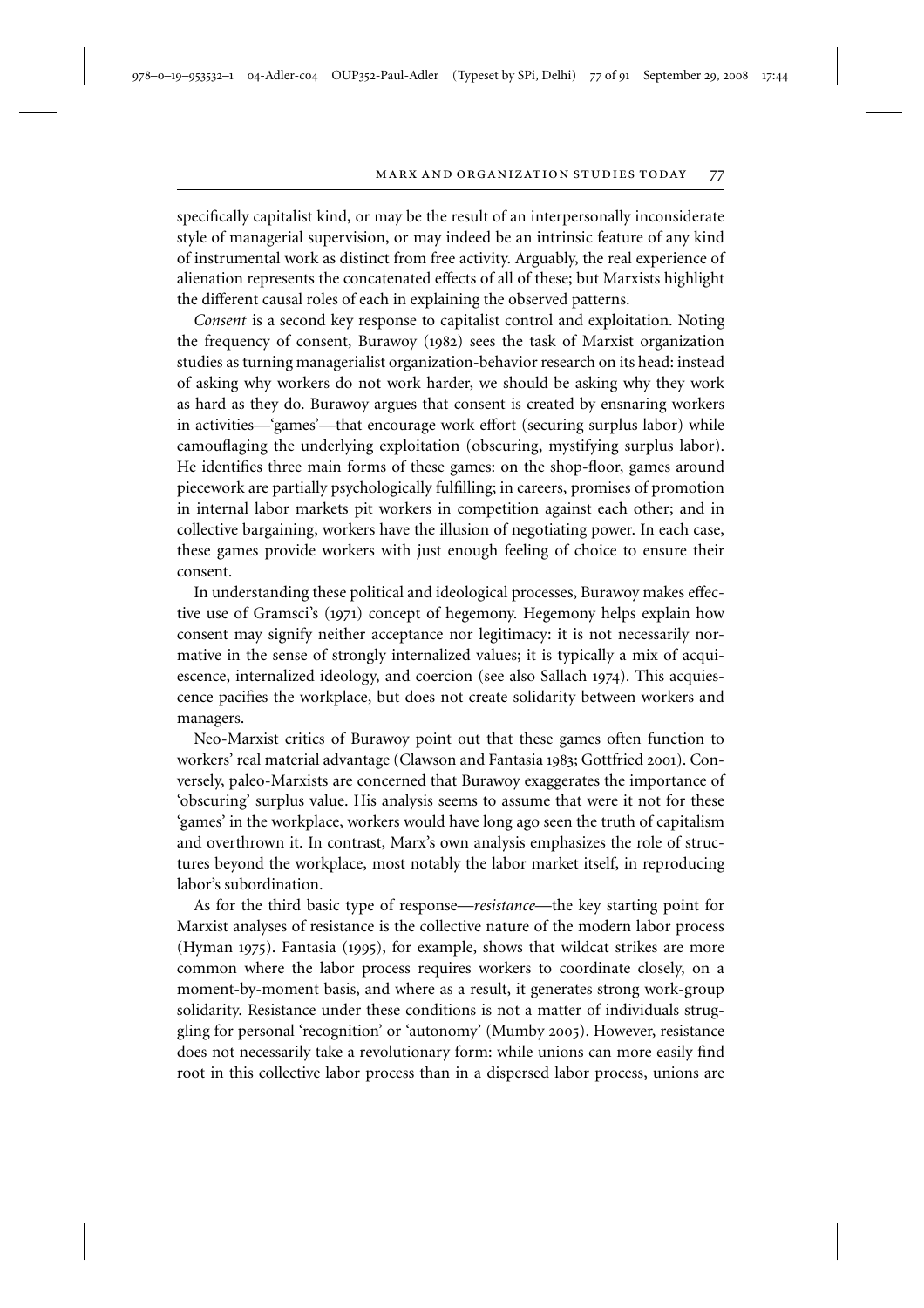specifically capitalist kind, or may be the result of an interpersonally inconsiderate style of managerial supervision, or may indeed be an intrinsic feature of any kind of instrumental work as distinct from free activity. Arguably, the real experience of alienation represents the concatenated effects of all of these; but Marxists highlight the different causal roles of each in explaining the observed patterns.

*Consent* is a second key response to capitalist control and exploitation. Noting the frequency of consent, Burawoy (1982) sees the task of Marxist organization studies as turning managerialist organization-behavior research on its head: instead of asking why workers do not work harder, we should be asking why they work as hard as they do. Burawoy argues that consent is created by ensnaring workers in activities—'games'—that encourage work effort (securing surplus labor) while camouflaging the underlying exploitation (obscuring, mystifying surplus labor). He identifies three main forms of these games: on the shop-floor, games around piecework are partially psychologically fulfilling; in careers, promises of promotion in internal labor markets pit workers in competition against each other; and in collective bargaining, workers have the illusion of negotiating power. In each case, these games provide workers with just enough feeling of choice to ensure their consent.

In understanding these political and ideological processes, Burawoy makes effective use of Gramsci's (1971) concept of hegemony. Hegemony helps explain how consent may signify neither acceptance nor legitimacy: it is not necessarily normative in the sense of strongly internalized values; it is typically a mix of acquiescence, internalized ideology, and coercion (see also Sallach 1974). This acquiescence pacifies the workplace, but does not create solidarity between workers and managers.

Neo-Marxist critics of Burawoy point out that these games often function to workers' real material advantage (Clawson and Fantasia 1983; Gottfried 2001). Conversely, paleo-Marxists are concerned that Burawoy exaggerates the importance of 'obscuring' surplus value. His analysis seems to assume that were it not for these 'games' in the workplace, workers would have long ago seen the truth of capitalism and overthrown it. In contrast, Marx's own analysis emphasizes the role of structures beyond the workplace, most notably the labor market itself, in reproducing labor's subordination.

As for the third basic type of response—*resistance*—the key starting point for Marxist analyses of resistance is the collective nature of the modern labor process (Hyman 1975). Fantasia (1995), for example, shows that wildcat strikes are more common where the labor process requires workers to coordinate closely, on a moment-by-moment basis, and where as a result, it generates strong work-group solidarity. Resistance under these conditions is not a matter of individuals struggling for personal 'recognition' or 'autonomy' (Mumby 2005). However, resistance does not necessarily take a revolutionary form: while unions can more easily find root in this collective labor process than in a dispersed labor process, unions are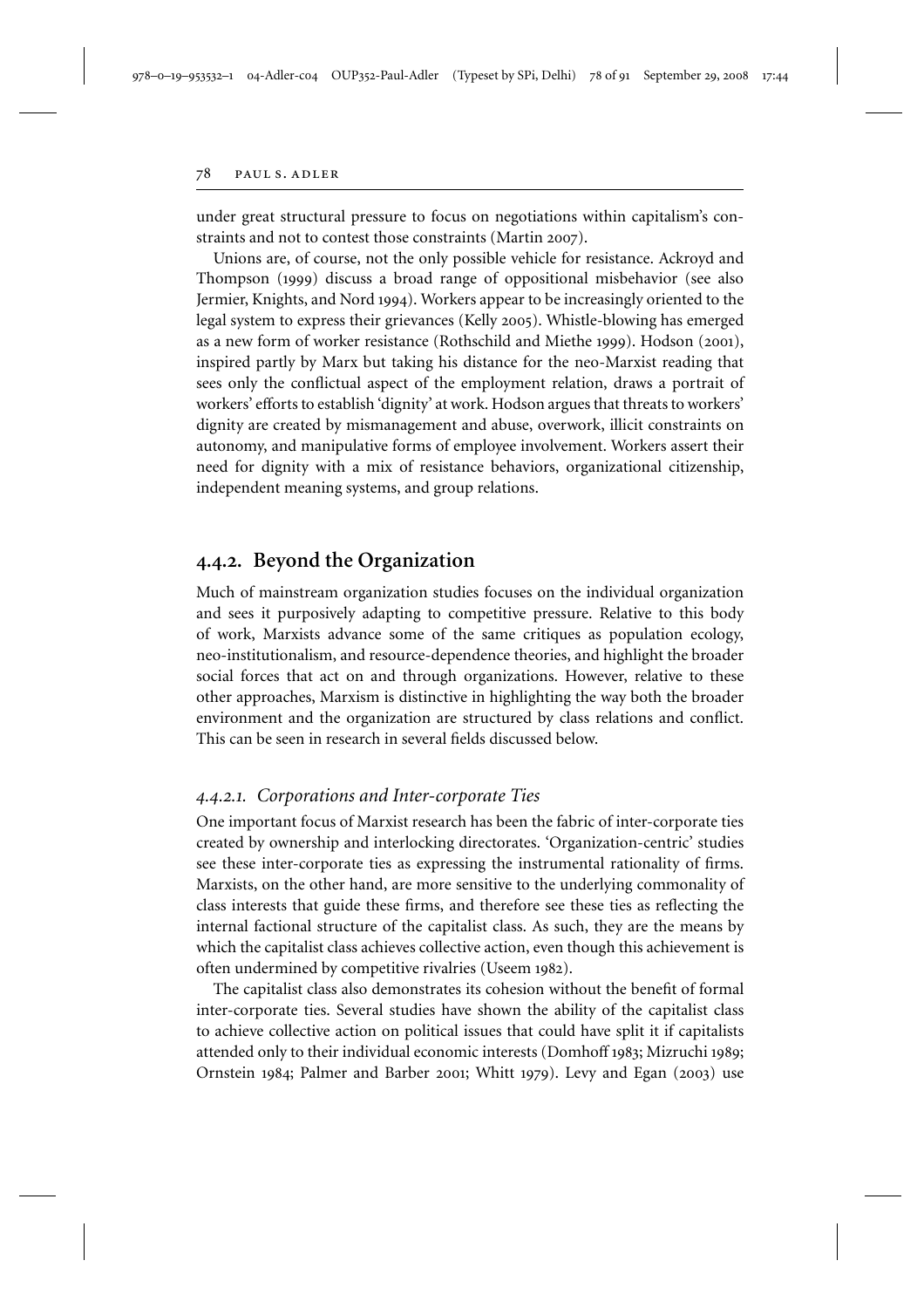under great structural pressure to focus on negotiations within capitalism's constraints and not to contest those constraints (Martin 2007).

Unions are, of course, not the only possible vehicle for resistance. Ackroyd and Thompson (1999) discuss a broad range of oppositional misbehavior (see also Jermier, Knights, and Nord 1994). Workers appear to be increasingly oriented to the legal system to express their grievances (Kelly 2005). Whistle-blowing has emerged as a new form of worker resistance (Rothschild and Miethe 1999). Hodson (2001), inspired partly by Marx but taking his distance for the neo-Marxist reading that sees only the conflictual aspect of the employment relation, draws a portrait of workers' efforts to establish 'dignity' at work. Hodson argues that threats to workers' dignity are created by mismanagement and abuse, overwork, illicit constraints on autonomy, and manipulative forms of employee involvement. Workers assert their need for dignity with a mix of resistance behaviors, organizational citizenship, independent meaning systems, and group relations.

# **4.4.2. Beyond the Organization**

Much of mainstream organization studies focuses on the individual organization and sees it purposively adapting to competitive pressure. Relative to this body of work, Marxists advance some of the same critiques as population ecology, neo-institutionalism, and resource-dependence theories, and highlight the broader social forces that act on and through organizations. However, relative to these other approaches, Marxism is distinctive in highlighting the way both the broader environment and the organization are structured by class relations and conflict. This can be seen in research in several fields discussed below.

# *4.4.2.1. Corporations and Inter-corporate Ties*

One important focus of Marxist research has been the fabric of inter-corporate ties created by ownership and interlocking directorates. 'Organization-centric' studies see these inter-corporate ties as expressing the instrumental rationality of firms. Marxists, on the other hand, are more sensitive to the underlying commonality of class interests that guide these firms, and therefore see these ties as reflecting the internal factional structure of the capitalist class. As such, they are the means by which the capitalist class achieves collective action, even though this achievement is often undermined by competitive rivalries (Useem 1982).

The capitalist class also demonstrates its cohesion without the benefit of formal inter-corporate ties. Several studies have shown the ability of the capitalist class to achieve collective action on political issues that could have split it if capitalists attended only to their individual economic interests (Domhoff 1983; Mizruchi 1989; Ornstein 1984; Palmer and Barber 2001; Whitt 1979). Levy and Egan (2003) use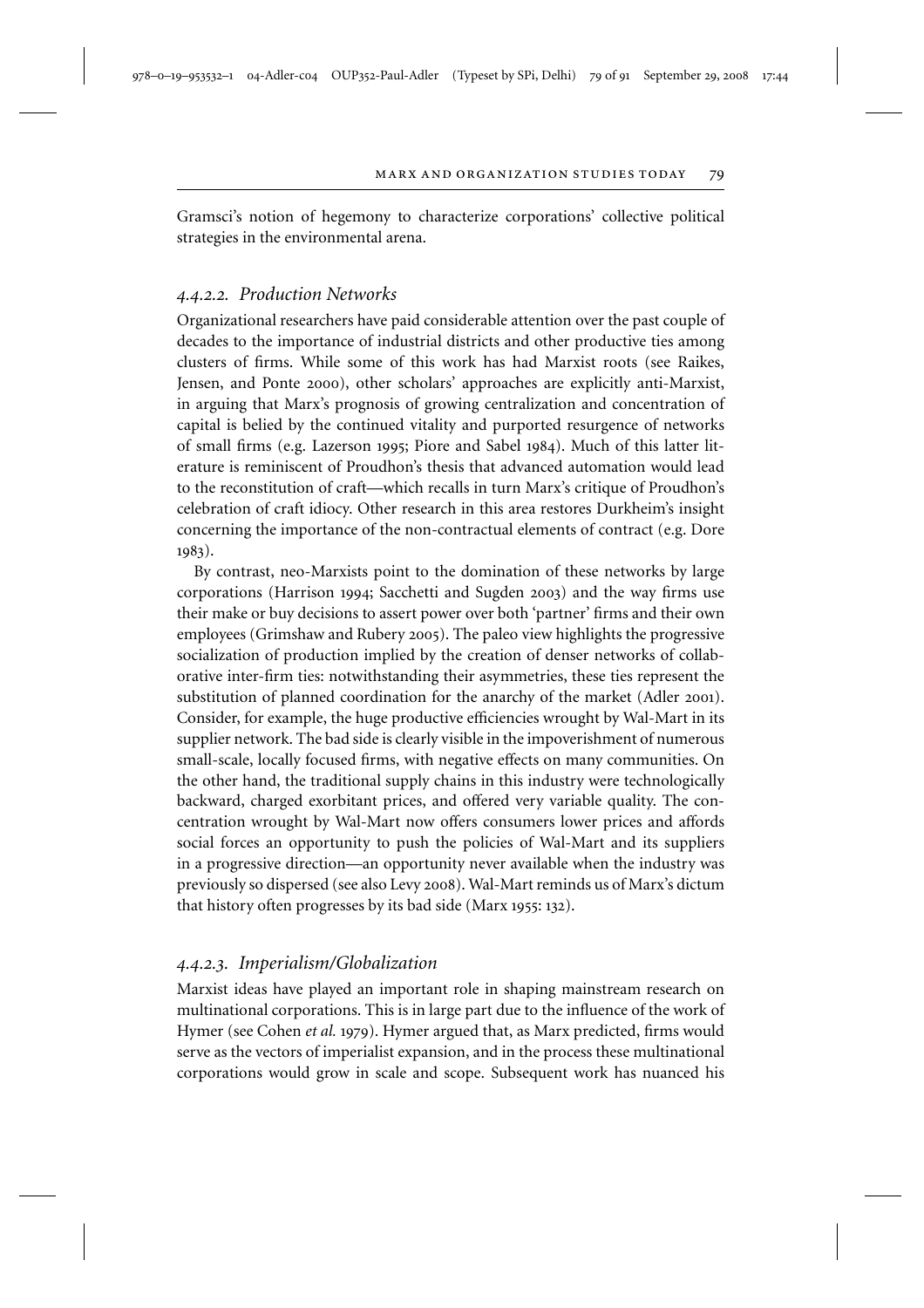Gramsci's notion of hegemony to characterize corporations' collective political strategies in the environmental arena.

# *4.4.2.2. Production Networks*

Organizational researchers have paid considerable attention over the past couple of decades to the importance of industrial districts and other productive ties among clusters of firms. While some of this work has had Marxist roots (see Raikes, Jensen, and Ponte 2000), other scholars' approaches are explicitly anti-Marxist, in arguing that Marx's prognosis of growing centralization and concentration of capital is belied by the continued vitality and purported resurgence of networks of small firms (e.g. Lazerson 1995; Piore and Sabel 1984). Much of this latter literature is reminiscent of Proudhon's thesis that advanced automation would lead to the reconstitution of craft—which recalls in turn Marx's critique of Proudhon's celebration of craft idiocy. Other research in this area restores Durkheim's insight concerning the importance of the non-contractual elements of contract (e.g. Dore 1983).

By contrast, neo-Marxists point to the domination of these networks by large corporations (Harrison 1994; Sacchetti and Sugden 2003) and the way firms use their make or buy decisions to assert power over both 'partner' firms and their own employees (Grimshaw and Rubery 2005). The paleo view highlights the progressive socialization of production implied by the creation of denser networks of collaborative inter-firm ties: notwithstanding their asymmetries, these ties represent the substitution of planned coordination for the anarchy of the market (Adler 2001). Consider, for example, the huge productive efficiencies wrought by Wal-Mart in its supplier network. The bad side is clearly visible in the impoverishment of numerous small-scale, locally focused firms, with negative effects on many communities. On the other hand, the traditional supply chains in this industry were technologically backward, charged exorbitant prices, and offered very variable quality. The concentration wrought by Wal-Mart now offers consumers lower prices and affords social forces an opportunity to push the policies of Wal-Mart and its suppliers in a progressive direction—an opportunity never available when the industry was previously so dispersed (see also Levy 2008). Wal-Mart reminds us of Marx's dictum that history often progresses by its bad side (Marx 1955: 132).

# *4.4.2.3. Imperialism/Globalization*

Marxist ideas have played an important role in shaping mainstream research on multinational corporations. This is in large part due to the influence of the work of Hymer (see Cohen *et al.* 1979). Hymer argued that, as Marx predicted, firms would serve as the vectors of imperialist expansion, and in the process these multinational corporations would grow in scale and scope. Subsequent work has nuanced his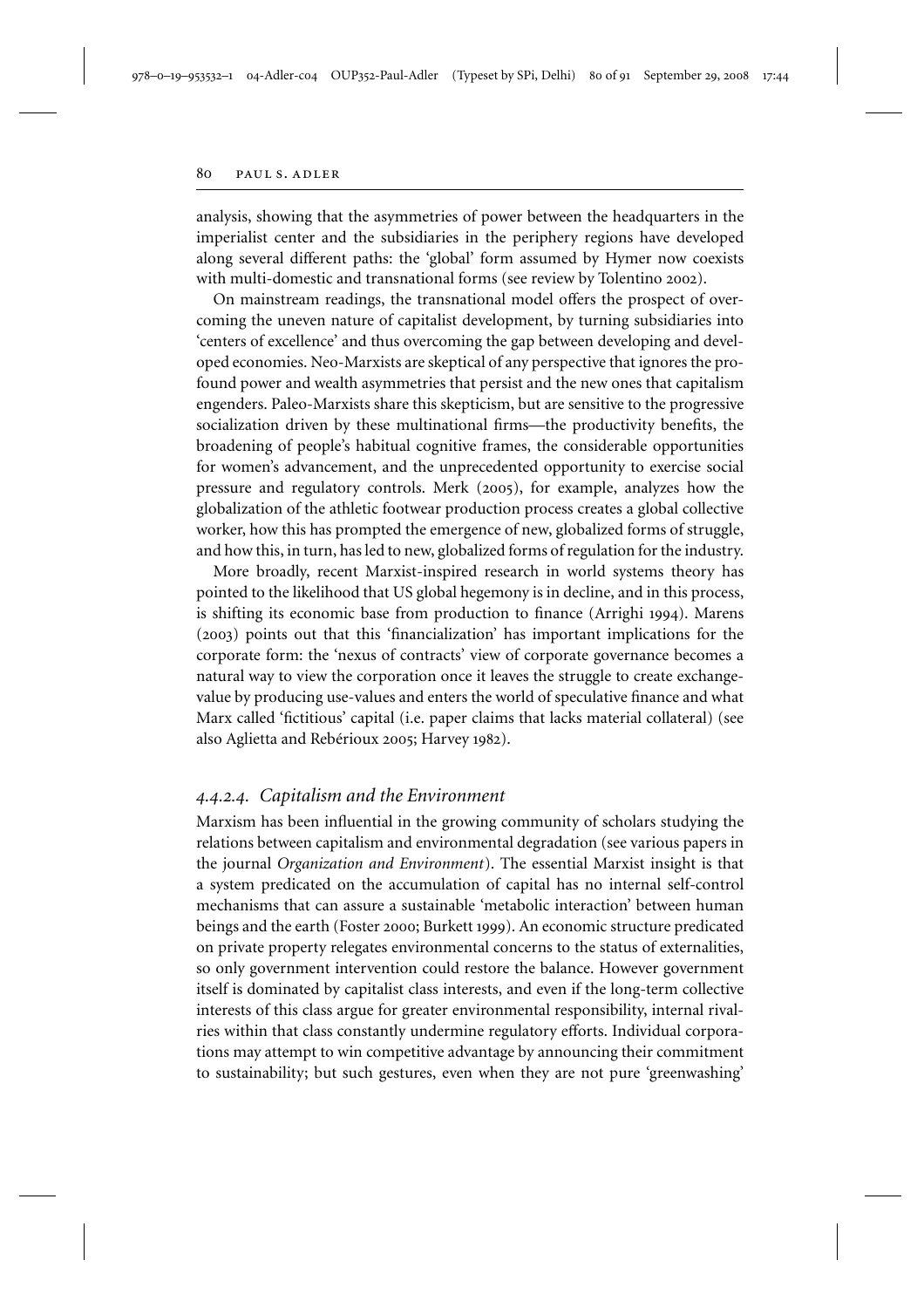analysis, showing that the asymmetries of power between the headquarters in the imperialist center and the subsidiaries in the periphery regions have developed along several different paths: the 'global' form assumed by Hymer now coexists with multi-domestic and transnational forms (see review by Tolentino 2002).

On mainstream readings, the transnational model offers the prospect of overcoming the uneven nature of capitalist development, by turning subsidiaries into 'centers of excellence' and thus overcoming the gap between developing and developed economies. Neo-Marxists are skeptical of any perspective that ignores the profound power and wealth asymmetries that persist and the new ones that capitalism engenders. Paleo-Marxists share this skepticism, but are sensitive to the progressive socialization driven by these multinational firms—the productivity benefits, the broadening of people's habitual cognitive frames, the considerable opportunities for women's advancement, and the unprecedented opportunity to exercise social pressure and regulatory controls. Merk (2005), for example, analyzes how the globalization of the athletic footwear production process creates a global collective worker, how this has prompted the emergence of new, globalized forms of struggle, and how this, in turn, has led to new, globalized forms of regulation for the industry.

More broadly, recent Marxist-inspired research in world systems theory has pointed to the likelihood that US global hegemony is in decline, and in this process, is shifting its economic base from production to finance (Arrighi 1994). Marens (2003) points out that this 'financialization' has important implications for the corporate form: the 'nexus of contracts' view of corporate governance becomes a natural way to view the corporation once it leaves the struggle to create exchangevalue by producing use-values and enters the world of speculative finance and what Marx called 'fictitious' capital (i.e. paper claims that lacks material collateral) (see also Aglietta and Rebérioux 2005; Harvey 1982).

# *4.4.2.4. Capitalism and the Environment*

Marxism has been influential in the growing community of scholars studying the relations between capitalism and environmental degradation (see various papers in the journal *Organization and Environment*). The essential Marxist insight is that a system predicated on the accumulation of capital has no internal self-control mechanisms that can assure a sustainable 'metabolic interaction' between human beings and the earth (Foster 2000; Burkett 1999). An economic structure predicated on private property relegates environmental concerns to the status of externalities, so only government intervention could restore the balance. However government itself is dominated by capitalist class interests, and even if the long-term collective interests of this class argue for greater environmental responsibility, internal rivalries within that class constantly undermine regulatory efforts. Individual corporations may attempt to win competitive advantage by announcing their commitment to sustainability; but such gestures, even when they are not pure 'greenwashing'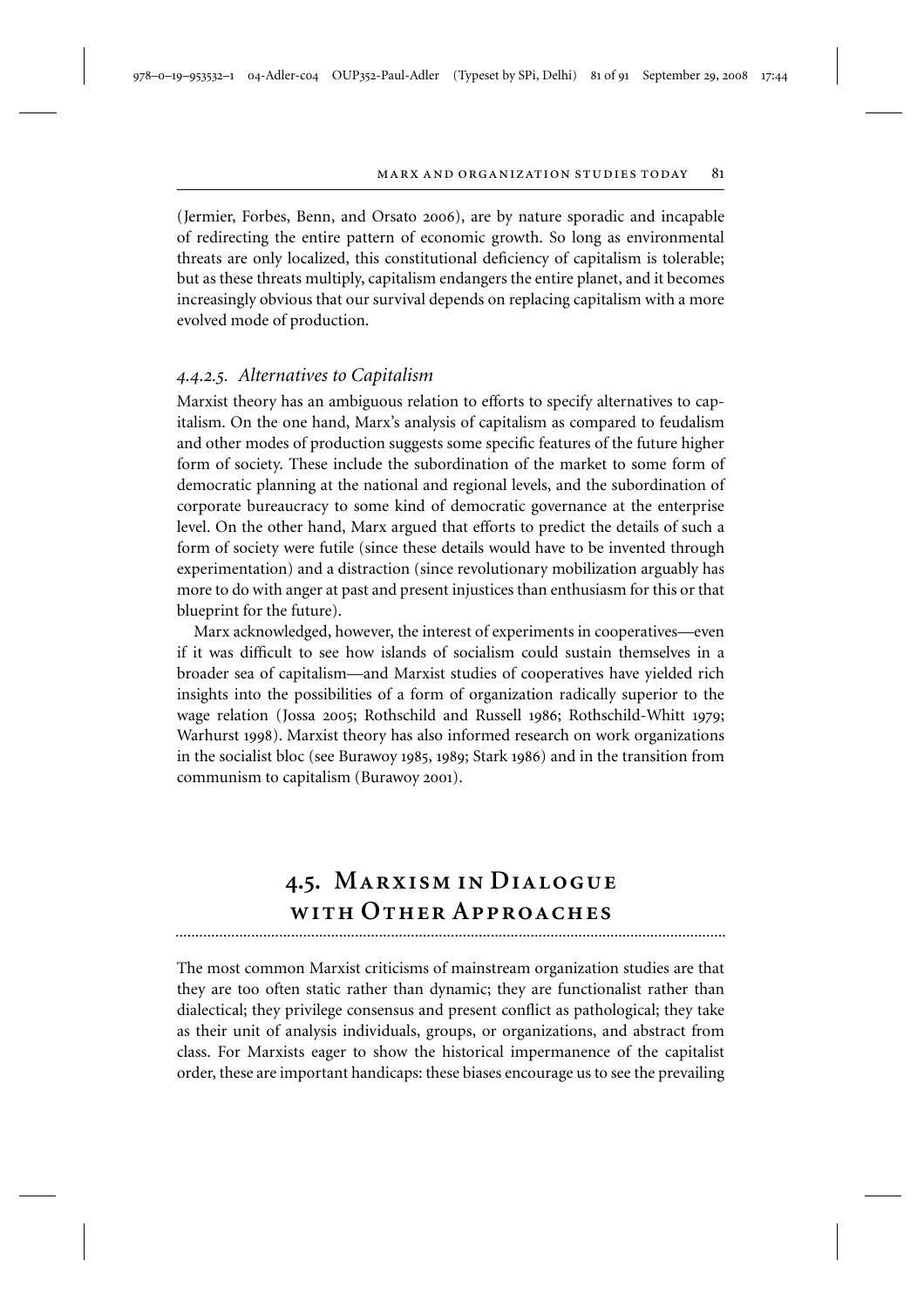(Jermier, Forbes, Benn, and Orsato 2006), are by nature sporadic and incapable of redirecting the entire pattern of economic growth. So long as environmental threats are only localized, this constitutional deficiency of capitalism is tolerable; but as these threats multiply, capitalism endangers the entire planet, and it becomes increasingly obvious that our survival depends on replacing capitalism with a more evolved mode of production.

# *4.4.2.5. Alternatives to Capitalism*

Marxist theory has an ambiguous relation to efforts to specify alternatives to capitalism. On the one hand, Marx's analysis of capitalism as compared to feudalism and other modes of production suggests some specific features of the future higher form of society. These include the subordination of the market to some form of democratic planning at the national and regional levels, and the subordination of corporate bureaucracy to some kind of democratic governance at the enterprise level. On the other hand, Marx argued that efforts to predict the details of such a form of society were futile (since these details would have to be invented through experimentation) and a distraction (since revolutionary mobilization arguably has more to do with anger at past and present injustices than enthusiasm for this or that blueprint for the future).

Marx acknowledged, however, the interest of experiments in cooperatives—even if it was difficult to see how islands of socialism could sustain themselves in a broader sea of capitalism—and Marxist studies of cooperatives have yielded rich insights into the possibilities of a form of organization radically superior to the wage relation (Jossa 2005; Rothschild and Russell 1986; Rothschild-Whitt 1979; Warhurst 1998). Marxist theory has also informed research on work organizations in the socialist bloc (see Burawoy 1985, 1989; Stark 1986) and in the transition from communism to capitalism (Burawoy 2001).

# **4.5. Marxism in Dialogue** WITH **OTHER APPROACHES**

The most common Marxist criticisms of mainstream organization studies are that they are too often static rather than dynamic; they are functionalist rather than dialectical; they privilege consensus and present conflict as pathological; they take as their unit of analysis individuals, groups, or organizations, and abstract from class. For Marxists eager to show the historical impermanence of the capitalist order, these are important handicaps: these biases encourage us to see the prevailing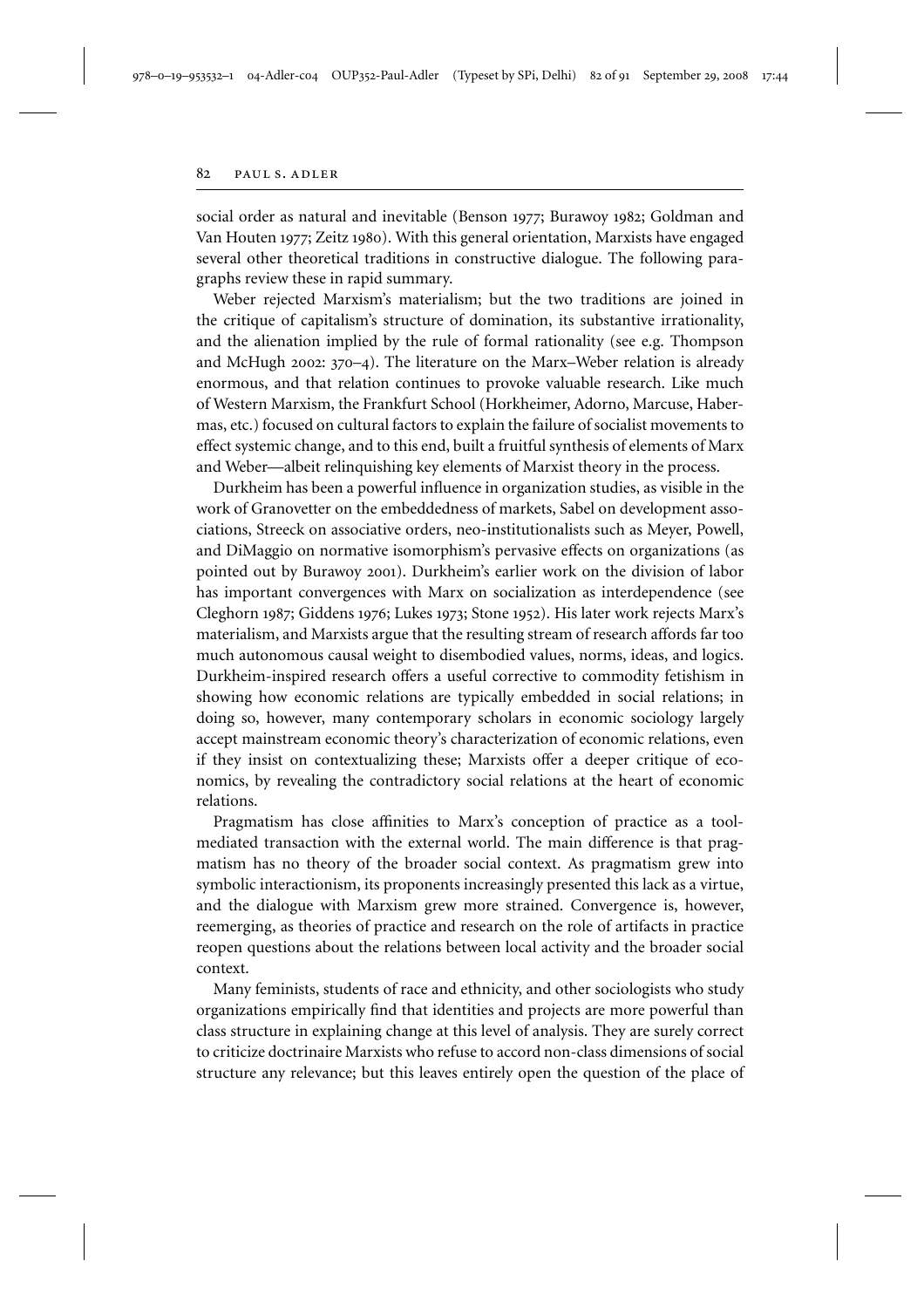social order as natural and inevitable (Benson 1977; Burawoy 1982; Goldman and Van Houten 1977; Zeitz 1980). With this general orientation, Marxists have engaged several other theoretical traditions in constructive dialogue. The following paragraphs review these in rapid summary.

Weber rejected Marxism's materialism; but the two traditions are joined in the critique of capitalism's structure of domination, its substantive irrationality, and the alienation implied by the rule of formal rationality (see e.g. Thompson and McHugh 2002: 370–4). The literature on the Marx–Weber relation is already enormous, and that relation continues to provoke valuable research. Like much of Western Marxism, the Frankfurt School (Horkheimer, Adorno, Marcuse, Habermas, etc.) focused on cultural factors to explain the failure of socialist movements to effect systemic change, and to this end, built a fruitful synthesis of elements of Marx and Weber—albeit relinquishing key elements of Marxist theory in the process.

Durkheim has been a powerful influence in organization studies, as visible in the work of Granovetter on the embeddedness of markets, Sabel on development associations, Streeck on associative orders, neo-institutionalists such as Meyer, Powell, and DiMaggio on normative isomorphism's pervasive effects on organizations (as pointed out by Burawoy 2001). Durkheim's earlier work on the division of labor has important convergences with Marx on socialization as interdependence (see Cleghorn 1987; Giddens 1976; Lukes 1973; Stone 1952). His later work rejects Marx's materialism, and Marxists argue that the resulting stream of research affords far too much autonomous causal weight to disembodied values, norms, ideas, and logics. Durkheim-inspired research offers a useful corrective to commodity fetishism in showing how economic relations are typically embedded in social relations; in doing so, however, many contemporary scholars in economic sociology largely accept mainstream economic theory's characterization of economic relations, even if they insist on contextualizing these; Marxists offer a deeper critique of economics, by revealing the contradictory social relations at the heart of economic relations.

Pragmatism has close affinities to Marx's conception of practice as a toolmediated transaction with the external world. The main difference is that pragmatism has no theory of the broader social context. As pragmatism grew into symbolic interactionism, its proponents increasingly presented this lack as a virtue, and the dialogue with Marxism grew more strained. Convergence is, however, reemerging, as theories of practice and research on the role of artifacts in practice reopen questions about the relations between local activity and the broader social context.

Many feminists, students of race and ethnicity, and other sociologists who study organizations empirically find that identities and projects are more powerful than class structure in explaining change at this level of analysis. They are surely correct to criticize doctrinaire Marxists who refuse to accord non-class dimensions of social structure any relevance; but this leaves entirely open the question of the place of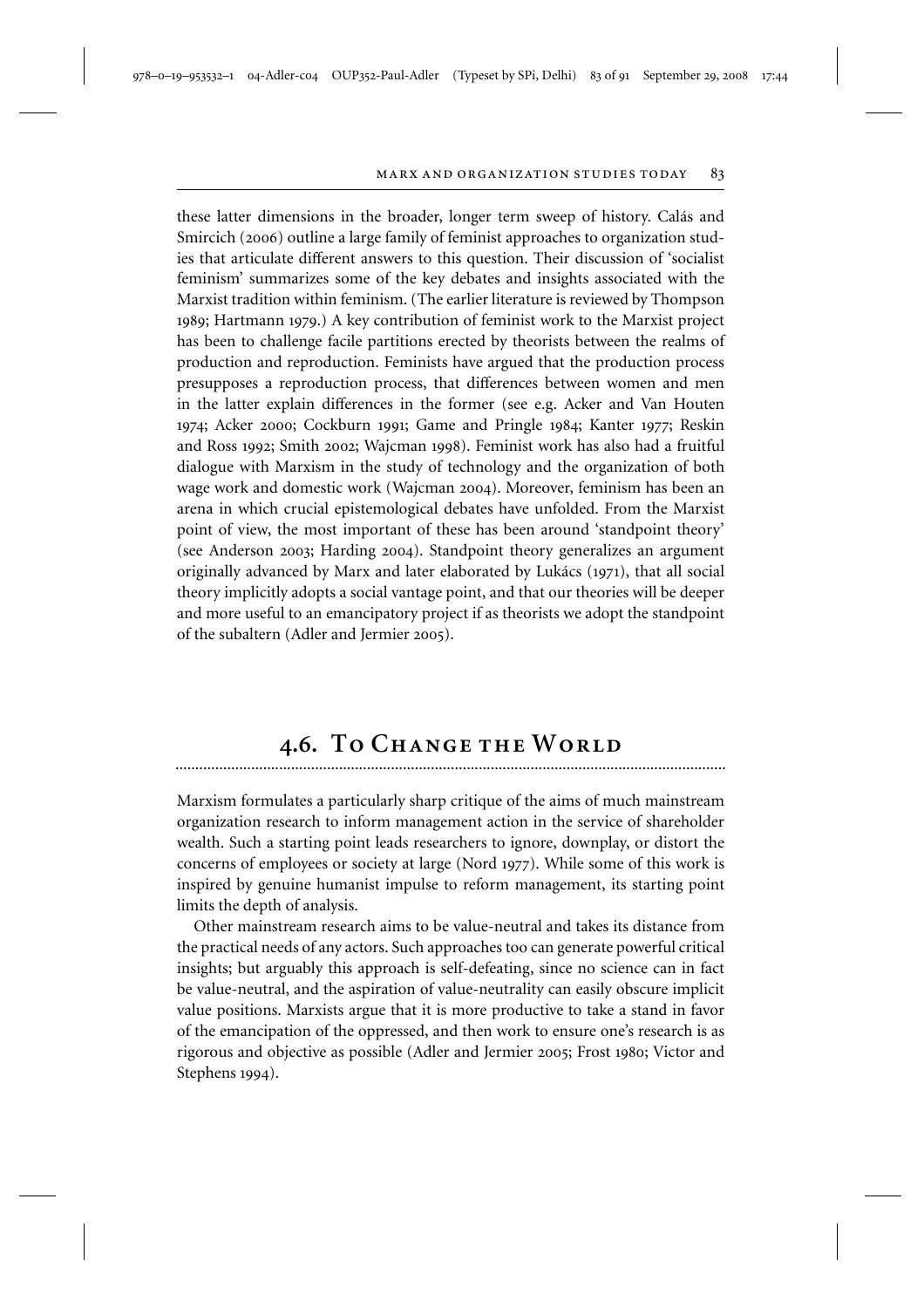these latter dimensions in the broader, longer term sweep of history. Calás and Smircich (2006) outline a large family of feminist approaches to organization studies that articulate different answers to this question. Their discussion of 'socialist feminism' summarizes some of the key debates and insights associated with the Marxist tradition within feminism. (The earlier literature is reviewed by Thompson 1989; Hartmann 1979.) A key contribution of feminist work to the Marxist project has been to challenge facile partitions erected by theorists between the realms of production and reproduction. Feminists have argued that the production process presupposes a reproduction process, that differences between women and men in the latter explain differences in the former (see e.g. Acker and Van Houten 1974; Acker 2000; Cockburn 1991; Game and Pringle 1984; Kanter 1977; Reskin and Ross 1992; Smith 2002; Wajcman 1998). Feminist work has also had a fruitful dialogue with Marxism in the study of technology and the organization of both wage work and domestic work (Wajcman 2004). Moreover, feminism has been an arena in which crucial epistemological debates have unfolded. From the Marxist point of view, the most important of these has been around 'standpoint theory' (see Anderson 2003; Harding 2004). Standpoint theory generalizes an argument originally advanced by Marx and later elaborated by Lukács (1971), that all social theory implicitly adopts a social vantage point, and that our theories will be deeper and more useful to an emancipatory project if as theorists we adopt the standpoint of the subaltern (Adler and Jermier 2005).

# 4.6. TO CHANGE THE WORLD

Marxism formulates a particularly sharp critique of the aims of much mainstream organization research to inform management action in the service of shareholder wealth. Such a starting point leads researchers to ignore, downplay, or distort the concerns of employees or society at large (Nord 1977). While some of this work is inspired by genuine humanist impulse to reform management, its starting point limits the depth of analysis.

Other mainstream research aims to be value-neutral and takes its distance from the practical needs of any actors. Such approaches too can generate powerful critical insights; but arguably this approach is self-defeating, since no science can in fact be value-neutral, and the aspiration of value-neutrality can easily obscure implicit value positions. Marxists argue that it is more productive to take a stand in favor of the emancipation of the oppressed, and then work to ensure one's research is as rigorous and objective as possible (Adler and Jermier 2005; Frost 1980; Victor and Stephens 1994).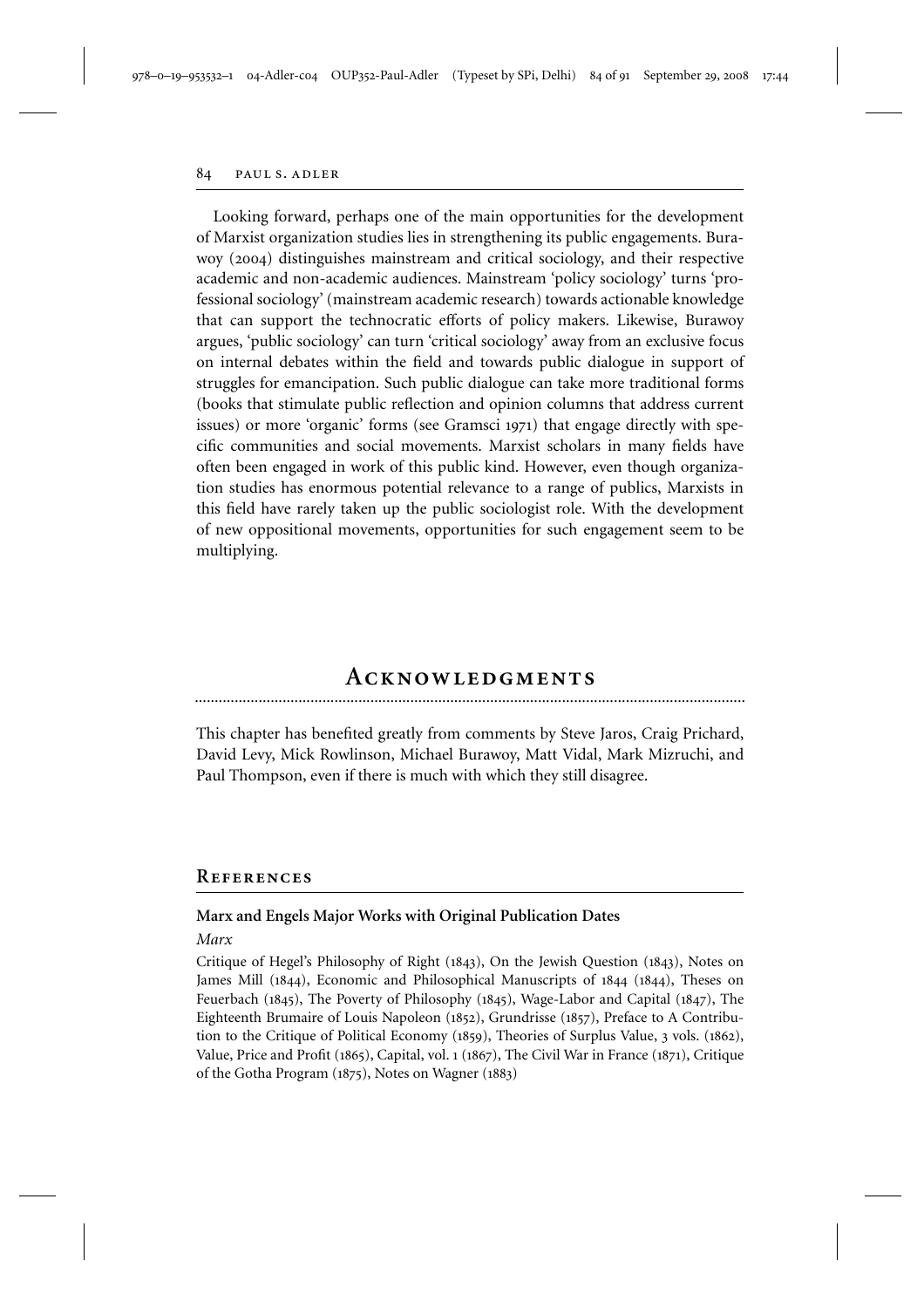Looking forward, perhaps one of the main opportunities for the development of Marxist organization studies lies in strengthening its public engagements. Burawoy (2004) distinguishes mainstream and critical sociology, and their respective academic and non-academic audiences. Mainstream 'policy sociology' turns 'professional sociology' (mainstream academic research) towards actionable knowledge that can support the technocratic efforts of policy makers. Likewise, Burawoy argues, 'public sociology' can turn 'critical sociology' away from an exclusive focus on internal debates within the field and towards public dialogue in support of struggles for emancipation. Such public dialogue can take more traditional forms (books that stimulate public reflection and opinion columns that address current issues) or more 'organic' forms (see Gramsci 1971) that engage directly with specific communities and social movements. Marxist scholars in many fields have often been engaged in work of this public kind. However, even though organization studies has enormous potential relevance to a range of publics, Marxists in this field have rarely taken up the public sociologist role. With the development of new oppositional movements, opportunities for such engagement seem to be multiplying.

# **<sup>A</sup>cknowledgments** ..........................................................................................................................................

This chapter has benefited greatly from comments by Steve Jaros, Craig Prichard, David Levy, Mick Rowlinson, Michael Burawoy, Matt Vidal, Mark Mizruchi, and Paul Thompson, even if there is much with which they still disagree.

# **References**

# **Marx and Engels Major Works with Original Publication Dates**

### *Marx*

Critique of Hegel's Philosophy of Right (1843), On the Jewish Question (1843), Notes on James Mill (1844), Economic and Philosophical Manuscripts of 1844 (1844), Theses on Feuerbach (1845), The Poverty of Philosophy (1845), Wage-Labor and Capital (1847), The Eighteenth Brumaire of Louis Napoleon (1852), Grundrisse (1857), Preface to A Contribution to the Critique of Political Economy (1859), Theories of Surplus Value, 3 vols. (1862), Value, Price and Profit (1865), Capital, vol. 1 (1867), The Civil War in France (1871), Critique of the Gotha Program (1875), Notes on Wagner (1883)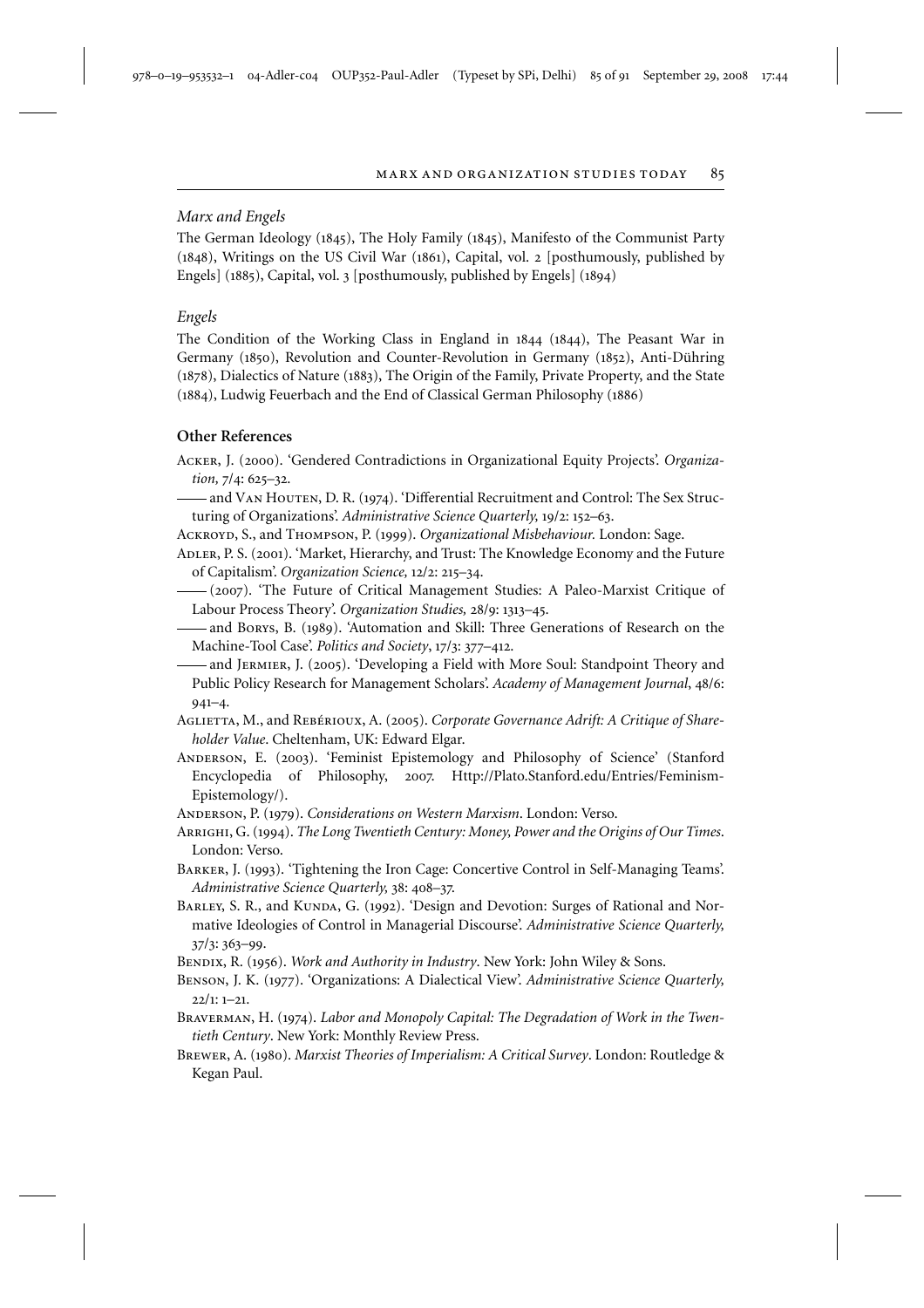# *Marx and Engels*

The German Ideology (1845), The Holy Family (1845), Manifesto of the Communist Party (1848), Writings on the US Civil War (1861), Capital, vol. 2 [posthumously, published by Engels] (1885), Capital, vol. 3 [posthumously, published by Engels] (1894)

## *Engels*

The Condition of the Working Class in England in 1844 (1844), The Peasant War in Germany (1850), Revolution and Counter-Revolution in Germany (1852), Anti-Dühring (1878), Dialectics of Nature (1883), The Origin of the Family, Private Property, and the State (1884), Ludwig Feuerbach and the End of Classical German Philosophy (1886)

# **Other References**

- Acker, J. (2000). 'Gendered Contradictions in Organizational Equity Projects'. *Organization,* 7/4: 625–32.
- and Van Houten, D. R. (1974). 'Differential Recruitment and Control: The Sex Structuring of Organizations'. *Administrative Science Quarterly,* 19/2: 152–63.

Ackroyd, S., and Thompson, P. (1999). *Organizational Misbehaviour.* London: Sage.

- Adler, P. S. (2001). 'Market, Hierarchy, and Trust: The Knowledge Economy and the Future of Capitalism'. *Organization Science,* 12/2: 215–34.
- (2007). 'The Future of Critical Management Studies: A Paleo-Marxist Critique of Labour Process Theory'. *Organization Studies,* 28/9: 1313–45.
- and Borys, B. (1989). 'Automation and Skill: Three Generations of Research on the Machine-Tool Case'. *Politics and Society*, 17/3: 377–412.

and Jermier, J. (2005). 'Developing a Field with More Soul: Standpoint Theory and Public Policy Research for Management Scholars'. *Academy of Management Journal*, 48/6: 941–4.

- AGLIETTA, M., and REBÉRIOUX, A. (2005). Corporate Governance Adrift: A Critique of Share*holder Value*. Cheltenham, UK: Edward Elgar.
- Anderson, E. (2003). 'Feminist Epistemology and Philosophy of Science' (Stanford Encyclopedia of Philosophy, 2007. Http://Plato.Stanford.edu/Entries/Feminism-Epistemology/).

Anderson, P. (1979). *Considerations on Western Marxism*. London: Verso.

- Arrighi, G. (1994). *The Long Twentieth Century: Money, Power and the Origins of Our Times*. London: Verso.
- Barker, J. (1993). 'Tightening the Iron Cage: Concertive Control in Self-Managing Teams'. *Administrative Science Quarterly,* 38: 408–37.
- BARLEY, S. R., and KUNDA, G. (1992). 'Design and Devotion: Surges of Rational and Normative Ideologies of Control in Managerial Discourse'. *Administrative Science Quarterly,* 37/3: 363–99.
- BENDIX, R. (1956). *Work and Authority in Industry*. New York: John Wiley & Sons.
- Benson, J. K. (1977). 'Organizations: A Dialectical View'. *Administrative Science Quarterly,*  $22/1: 1-21$
- Braverman, H. (1974). *Labor and Monopoly Capital: The Degradation of Work in the Twentieth Century*. New York: Monthly Review Press.
- Brewer, A. (1980). *Marxist Theories of Imperialism: A Critical Survey*. London: Routledge & Kegan Paul.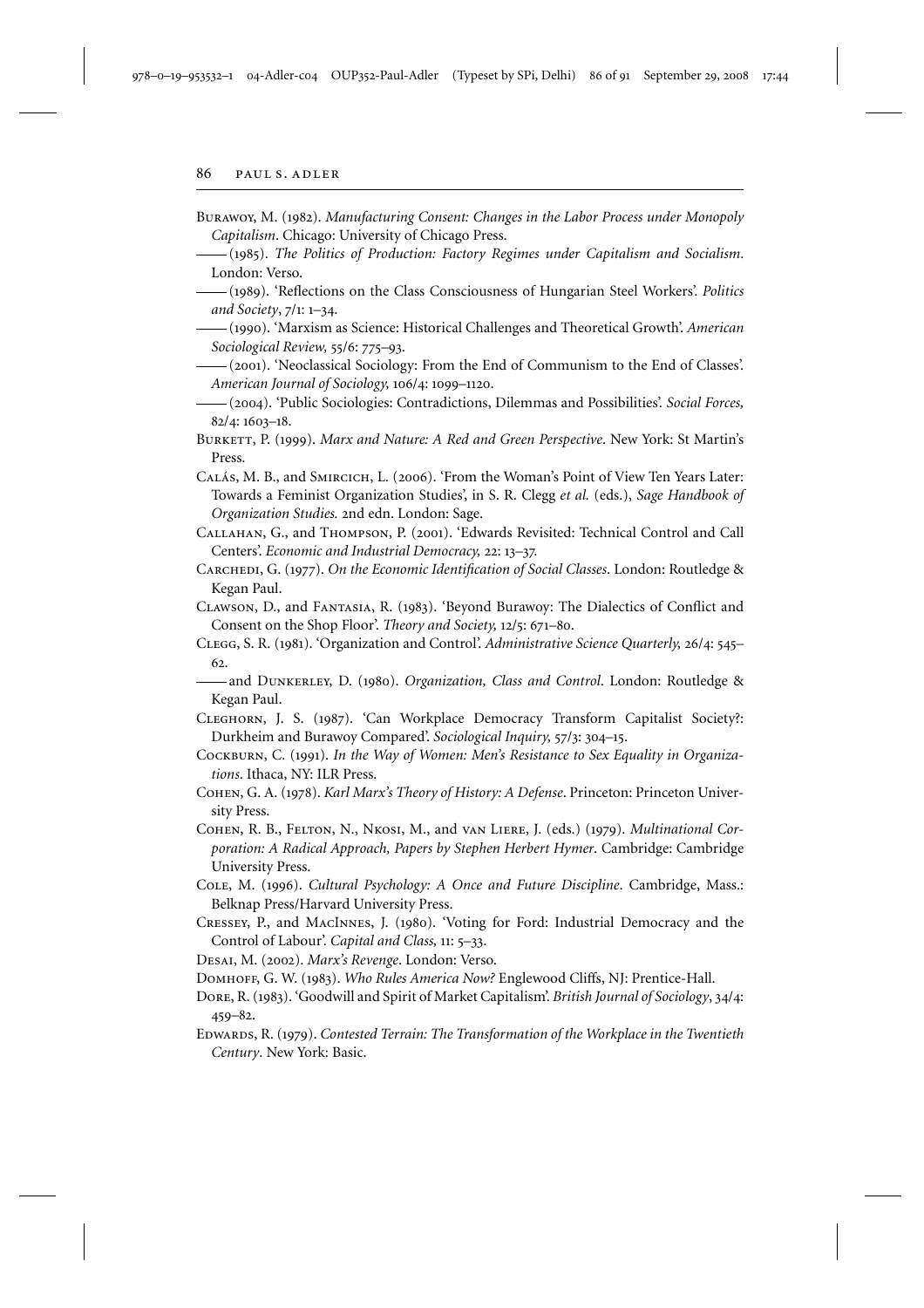- Burawoy, M. (1982). *Manufacturing Consent: Changes in the Labor Process under Monopoly Capitalism*. Chicago: University of Chicago Press.
- (1985). *The Politics of Production: Factory Regimes under Capitalism and Socialism*. London: Verso.
- (1989). 'Reflections on the Class Consciousness of Hungarian Steel Workers'. *Politics and Society*, 7/1: 1–34.
- (1990). 'Marxism as Science: Historical Challenges and Theoretical Growth'. *American Sociological Review,* 55/6: 775–93.
- (2001). 'Neoclassical Sociology: From the End of Communism to the End of Classes'. *American Journal of Sociology,* 106/4: 1099–1120.
- (2004). 'Public Sociologies: Contradictions, Dilemmas and Possibilities'. *Social Forces,* 82/4: 1603–18.
- Burkett, P. (1999). *Marx and Nature: A Red and Green Perspective*. New York: St Martin's Press.
- Calás, M. B., and Smircich, L. (2006). 'From the Woman's Point of View Ten Years Later: Towards a Feminist Organization Studies', in S. R. Clegg *et al.* (eds.), *Sage Handbook of Organization Studies.* 2nd edn. London: Sage.
- Callahan, G., and Thompson, P. (2001). 'Edwards Revisited: Technical Control and Call Centers'. *Economic and Industrial Democracy,* 22: 13–37.
- Carchedi, G. (1977). *On the Economic Identification of Social Classes*. London: Routledge & Kegan Paul.
- Clawson, D., and Fantasia, R. (1983). 'Beyond Burawoy: The Dialectics of Conflict and Consent on the Shop Floor'. *Theory and Society,* 12/5: 671–80.
- Clegg, S. R. (1981). 'Organization and Control'. *Administrative Science Quarterly,* 26/4: 545– 62.
- and Dunkerley, D. (1980). *Organization, Class and Control*. London: Routledge & Kegan Paul.
- Cleghorn, J. S. (1987). 'Can Workplace Democracy Transform Capitalist Society?: Durkheim and Burawoy Compared'. *Sociological Inquiry,* 57/3: 304–15.
- Cockburn, C. (1991). *In the Way of Women: Men's Resistance to Sex Equality in Organizations*. Ithaca, NY: ILR Press.
- Cohen, G. A. (1978). *Karl Marx's Theory of History: A Defense*. Princeton: Princeton University Press.
- Cohen, R. B., Felton, N., Nkosi, M., and van Liere, J. (eds.) (1979). *Multinational Corporation: A Radical Approach, Papers by Stephen Herbert Hymer*. Cambridge: Cambridge University Press.
- Cole, M. (1996). *Cultural Psychology: A Once and Future Discipline*. Cambridge, Mass.: Belknap Press/Harvard University Press.
- Cressey, P., and MacInnes, J. (1980). 'Voting for Ford: Industrial Democracy and the Control of Labour'. *Capital and Class,* 11: 5–33.
- Desai, M. (2002). *Marx's Revenge*. London: Verso.
- Domhoff, G. W. (1983). *Who Rules America Now?* Englewood Cliffs, NJ: Prentice-Hall.
- Dore, R. (1983). 'Goodwill and Spirit of Market Capitalism'. *British Journal of Sociology*,34/4: 459–82.
- Edwards, R. (1979). *Contested Terrain: The Transformation of the Workplace in the Twentieth Century*. New York: Basic.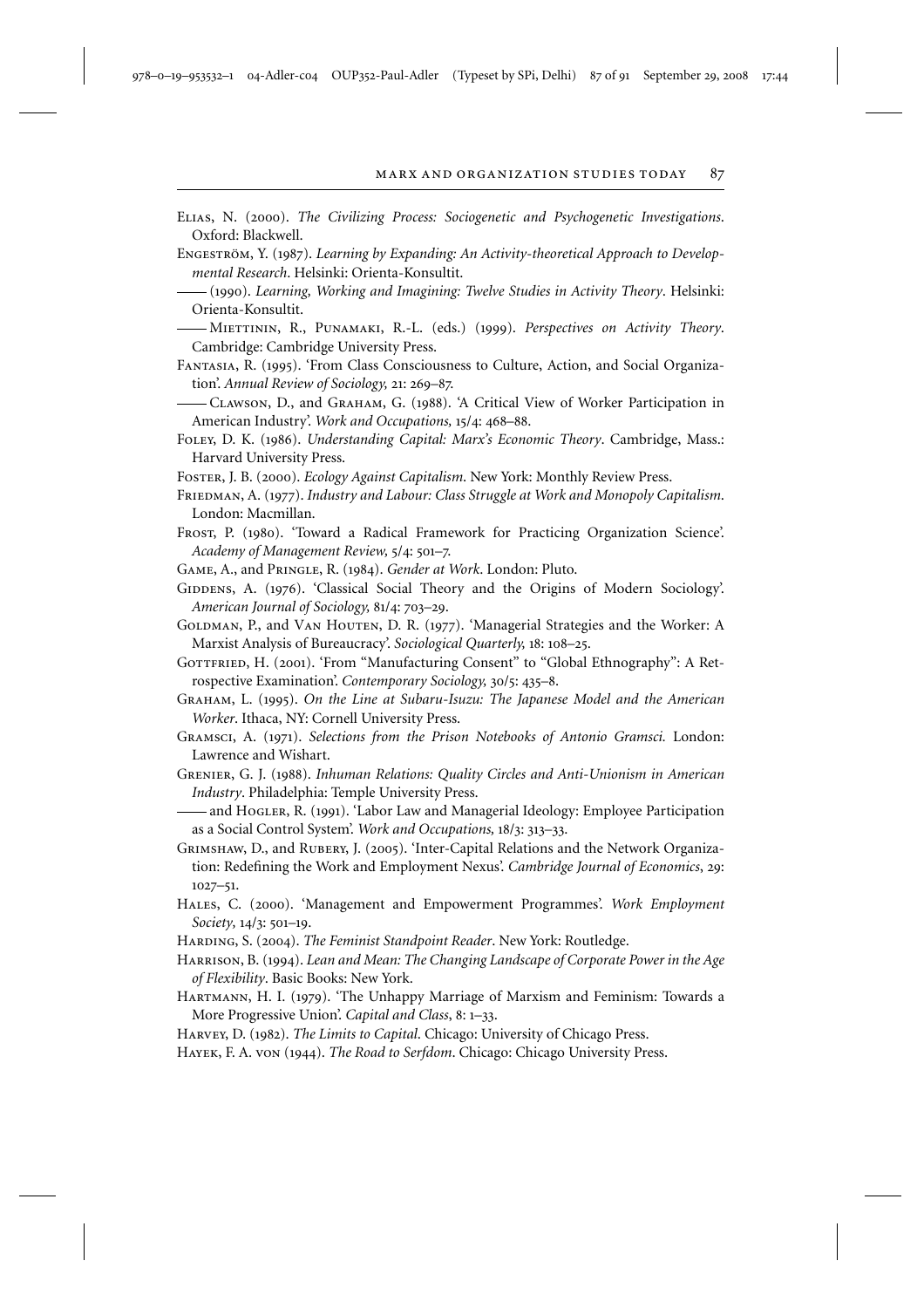- Elias, N. (2000). *The Civilizing Process: Sociogenetic and Psychogenetic Investigations*. Oxford: Blackwell.
- Engeström, Y. (1987). *Learning by Expanding: An Activity-theoretical Approach to Developmental Research*. Helsinki: Orienta-Konsultit.
- (1990). *Learning, Working and Imagining: Twelve Studies in Activity Theory*. Helsinki: Orienta-Konsultit.
- Miettinin, R., Punamaki, R.-L. (eds.) (1999). *Perspectives on Activity Theory*. Cambridge: Cambridge University Press.
- Fantasia, R. (1995). 'From Class Consciousness to Culture, Action, and Social Organization'. *Annual Review of Sociology,* 21: 269–87.

Clawson, D., and Graham, G. (1988). 'A Critical View of Worker Participation in American Industry'. *Work and Occupations,* 15/4: 468–88.

Foley, D. K. (1986). *Understanding Capital: Marx's Economic Theory*. Cambridge, Mass.: Harvard University Press.

Foster, J. B. (2000). *Ecology Against Capitalism*. New York: Monthly Review Press.

- Friedman, A. (1977). *Industry and Labour: Class Struggle at Work and Monopoly Capitalism*. London: Macmillan.
- Frost, P. (1980). 'Toward a Radical Framework for Practicing Organization Science'. *Academy of Management Review,* 5/4: 501–7.
- Game, A., and Pringle, R. (1984). *Gender at Work*. London: Pluto.
- GIDDENS, A. (1976). 'Classical Social Theory and the Origins of Modern Sociology'. *American Journal of Sociology,* 81/4: 703–29.
- GOLDMAN, P., and VAN HOUTEN, D. R. (1977). 'Managerial Strategies and the Worker: A Marxist Analysis of Bureaucracy'. *Sociological Quarterly,* 18: 108–25.
- GOTTFRIED, H. (2001). 'From "Manufacturing Consent" to "Global Ethnography": A Retrospective Examination'. *Contemporary Sociology,* 30/5: 435–8.
- Graham, L. (1995). *On the Line at Subaru-Isuzu: The Japanese Model and the American Worker*. Ithaca, NY: Cornell University Press.
- Gramsci, A. (1971). *Selections from the Prison Notebooks of Antonio Gramsci.* London: Lawrence and Wishart.
- Grenier, G. J. (1988). *Inhuman Relations: Quality Circles and Anti-Unionism in American Industry*. Philadelphia: Temple University Press.
- and Hogler, R. (1991). 'Labor Law and Managerial Ideology: Employee Participation as a Social Control System'. *Work and Occupations,* 18/3: 313–33.
- Grimshaw, D., and Rubery, J. (2005). 'Inter-Capital Relations and the Network Organization: Redefining the Work and Employment Nexus'. *Cambridge Journal of Economics*, 29: 1027–51.
- Hales, C. (2000). 'Management and Empowerment Programmes'. *Work Employment Society,* 14/3: 501–19.
- Harding, S. (2004). *The Feminist Standpoint Reader*. New York: Routledge.
- Harrison, B. (1994). *Lean and Mean: The Changing Landscape of Corporate Power in the Age of Flexibility*. Basic Books: New York.
- Hartmann, H. I. (1979). 'The Unhappy Marriage of Marxism and Feminism: Towards a More Progressive Union'. *Capital and Class*, 8: 1–33.
- Harvey, D. (1982). *The Limits to Capital*. Chicago: University of Chicago Press.
- Hayek, F. A. von (1944). *The Road to Serfdom*. Chicago: Chicago University Press.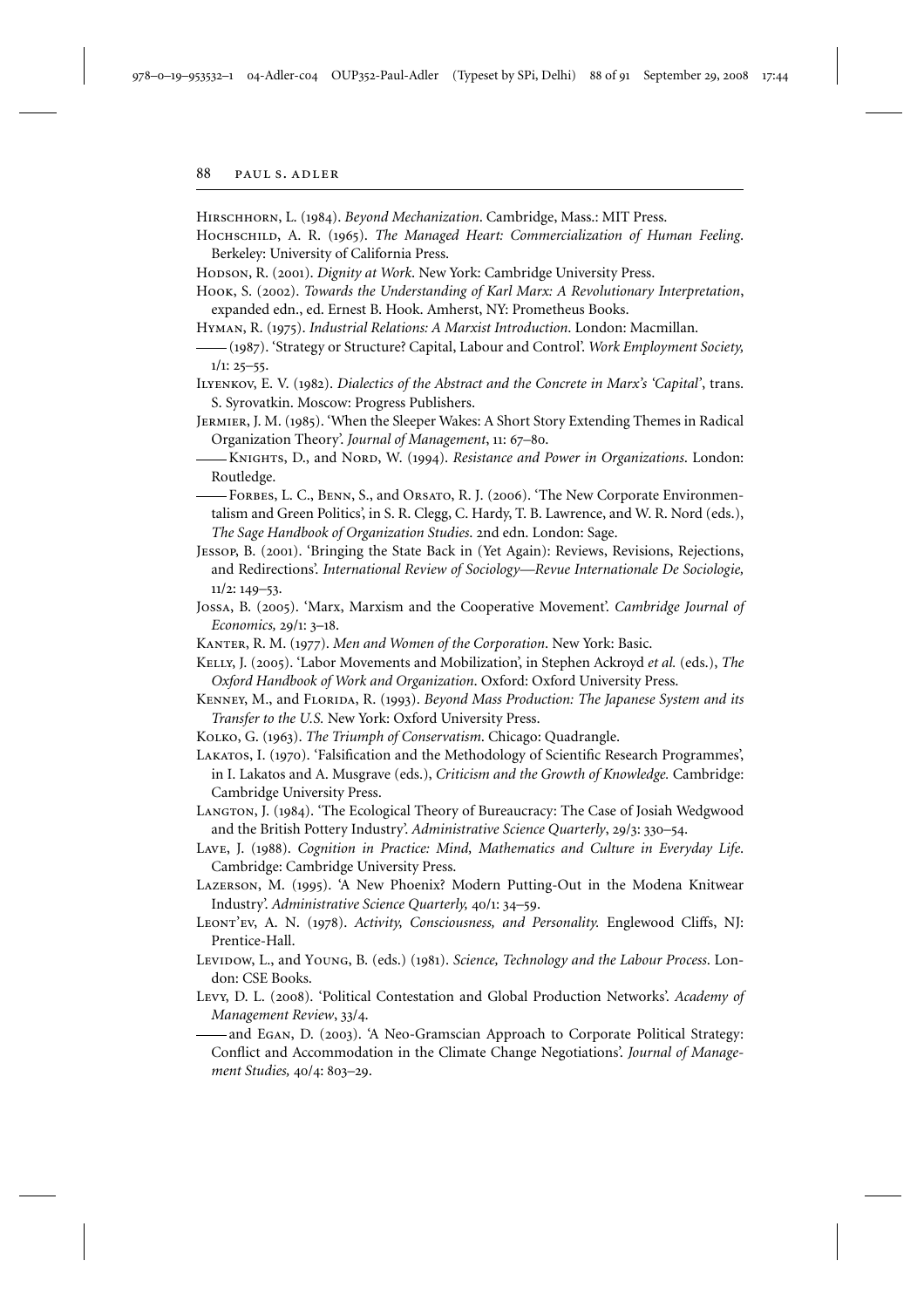Hirschhorn, L. (1984). *Beyond Mechanization*. Cambridge, Mass.: MIT Press.

- Hochschild, A. R. (1965). *The Managed Heart: Commercialization of Human Feeling*. Berkeley: University of California Press.
- Hodson, R. (2001). *Dignity at Work*. New York: Cambridge University Press.
- Hook, S. (2002). *Towards the Understanding of Karl Marx: A Revolutionary Interpretation*, expanded edn., ed. Ernest B. Hook. Amherst, NY: Prometheus Books.
- Hyman, R. (1975). *Industrial Relations: A Marxist Introduction*. London: Macmillan.
- (1987). 'Strategy or Structure? Capital, Labour and Control'. *Work Employment Society,*  $1/1: 25 - 55.$
- Ilyenkov, E. V. (1982). *Dialectics of the Abstract and the Concrete in Marx's 'Capital'*, trans. S. Syrovatkin. Moscow: Progress Publishers.
- Jermier, J. M. (1985). 'When the Sleeper Wakes: A Short Story Extending Themes in Radical Organization Theory'. *Journal of Management*, 11: 67–80.
- Knights, D., and Nord, W. (1994). *Resistance and Power in Organizations*. London: Routledge.
- Forbes, L. C., Benn, S., and Orsato, R. J. (2006). 'The New Corporate Environmentalism and Green Politics', in S. R. Clegg, C. Hardy, T. B. Lawrence, and W. R. Nord (eds.), *The Sage Handbook of Organization Studies*. 2nd edn. London: Sage.
- Jessop, B. (2001). 'Bringing the State Back in (Yet Again): Reviews, Revisions, Rejections, and Redirections'. *International Review of Sociology—Revue Internationale De Sociologie,* 11/2: 149–53.
- Jossa, B. (2005). 'Marx, Marxism and the Cooperative Movement'. *Cambridge Journal of Economics,* 29/1: 3–18.
- Kanter, R. M. (1977). *Men and Women of the Corporation*. New York: Basic.

Kelly, J. (2005). 'Labor Movements and Mobilization', in Stephen Ackroyd *et al.* (eds.), *The Oxford Handbook of Work and Organization*. Oxford: Oxford University Press.

- KENNEY, M., and FLORIDA, R. (1993). *Beyond Mass Production: The Japanese System and its Transfer to the U.S.* New York: Oxford University Press.
- Kolko, G. (1963). *The Triumph of Conservatism*. Chicago: Quadrangle.
- Lakatos, I. (1970). 'Falsification and the Methodology of Scientific Research Programmes', in I. Lakatos and A. Musgrave (eds.), *Criticism and the Growth of Knowledge.* Cambridge: Cambridge University Press.
- LANGTON, J. (1984). 'The Ecological Theory of Bureaucracy: The Case of Josiah Wedgwood and the British Pottery Industry'. *Administrative Science Quarterly*, 29/3: 330–54.
- Lave, J. (1988). *Cognition in Practice: Mind, Mathematics and Culture in Everyday Life*. Cambridge: Cambridge University Press.
- Lazerson, M. (1995). 'A New Phoenix? Modern Putting-Out in the Modena Knitwear Industry'. *Administrative Science Quarterly,* 40/1: 34–59.
- LEONT'EV, A. N. (1978). *Activity, Consciousness, and Personality.* Englewood Cliffs, NJ: Prentice-Hall.
- Levidow, L., and Young, B. (eds.) (1981). *Science, Technology and the Labour Process*. London: CSE Books.
- Levy, D. L. (2008). 'Political Contestation and Global Production Networks'. *Academy of Management Review*, 33/4.
- and Egan, D. (2003). 'A Neo-Gramscian Approach to Corporate Political Strategy: Conflict and Accommodation in the Climate Change Negotiations'. *Journal of Management Studies,* 40/4: 803–29.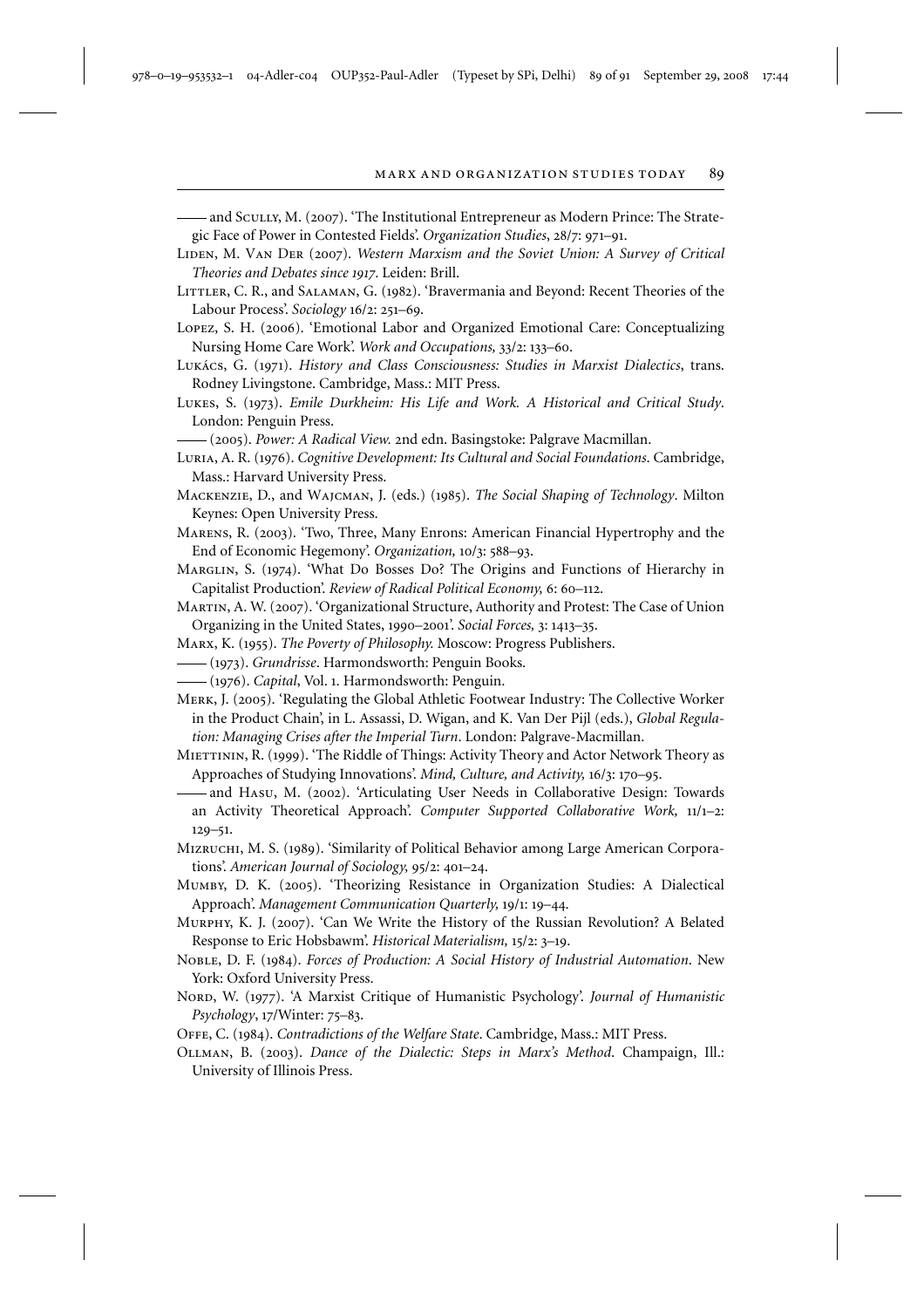- and Scully, M. (2007). 'The Institutional Entrepreneur as Modern Prince: The Strategic Face of Power in Contested Fields'. *Organization Studies*, 28/7: 971–91.
- Liden, M. Van Der (2007). *Western Marxism and the Soviet Union: A Survey of Critical Theories and Debates since 1917*. Leiden: Brill.
- LITTLER, C. R., and SALAMAN, G. (1982). 'Bravermania and Beyond: Recent Theories of the Labour Process'. *Sociology* 16/2: 251–69.
- Lopez, S. H. (2006). 'Emotional Labor and Organized Emotional Care: Conceptualizing Nursing Home Care Work'. *Work and Occupations,* 33/2: 133–60.
- Lukács, G. (1971). *History and Class Consciousness: Studies in Marxist Dialectics*, trans. Rodney Livingstone. Cambridge, Mass.: MIT Press.
- Lukes, S. (1973). *Emile Durkheim: His Life and Work. A Historical and Critical Study*. London: Penguin Press.
- (2005). *Power: A Radical View.* 2nd edn. Basingstoke: Palgrave Macmillan.
- Luria, A. R. (1976). *Cognitive Development: Its Cultural and Social Foundations*. Cambridge, Mass.: Harvard University Press.
- Mackenzie, D., and Wajcman, J. (eds.) (1985). *The Social Shaping of Technology*. Milton Keynes: Open University Press.
- Marens, R. (2003). 'Two, Three, Many Enrons: American Financial Hypertrophy and the End of Economic Hegemony'. *Organization,* 10/3: 588–93.
- Marglin, S. (1974). 'What Do Bosses Do? The Origins and Functions of Hierarchy in Capitalist Production'. *Review of Radical Political Economy,* 6: 60–112.
- Martin, A. W. (2007). 'Organizational Structure, Authority and Protest: The Case of Union Organizing in the United States, 1990–2001'. *Social Forces,* 3: 1413–35.
- Marx, K. (1955). *The Poverty of Philosophy.* Moscow: Progress Publishers.
- (1973). *Grundrisse*. Harmondsworth: Penguin Books.
- (1976). *Capital*, Vol. 1. Harmondsworth: Penguin.
- Merk, J. (2005). 'Regulating the Global Athletic Footwear Industry: The Collective Worker in the Product Chain', in L. Assassi, D. Wigan, and K. Van Der Pijl (eds.), *Global Regulation: Managing Crises after the Imperial Turn*. London: Palgrave-Macmillan.
- MIETTININ, R. (1999). 'The Riddle of Things: Activity Theory and Actor Network Theory as Approaches of Studying Innovations'. *Mind, Culture, and Activity,* 16/3: 170–95.
- and Hasu, M. (2002). 'Articulating User Needs in Collaborative Design: Towards an Activity Theoretical Approach'. *Computer Supported Collaborative Work,* 11/1–2: 129–51.
- Mizruchi, M. S. (1989). 'Similarity of Political Behavior among Large American Corporations'. *American Journal of Sociology,* 95/2: 401–24.
- Mumby, D. K. (2005). 'Theorizing Resistance in Organization Studies: A Dialectical Approach'. *Management Communication Quarterly,* 19/1: 19–44.
- Murphy, K. J. (2007). 'Can We Write the History of the Russian Revolution? A Belated Response to Eric Hobsbawm'. *Historical Materialism,* 15/2: 3–19.
- Noble, D. F. (1984). *Forces of Production: A Social History of Industrial Automation*. New York: Oxford University Press.
- Nord, W. (1977). 'A Marxist Critique of Humanistic Psychology'. *Journal of Humanistic Psychology*, 17/Winter: 75–83.
- Offe, C. (1984). *Contradictions of the Welfare State*. Cambridge, Mass.: MIT Press.
- Ollman, B. (2003). *Dance of the Dialectic: Steps in Marx's Method*. Champaign, Ill.: University of Illinois Press.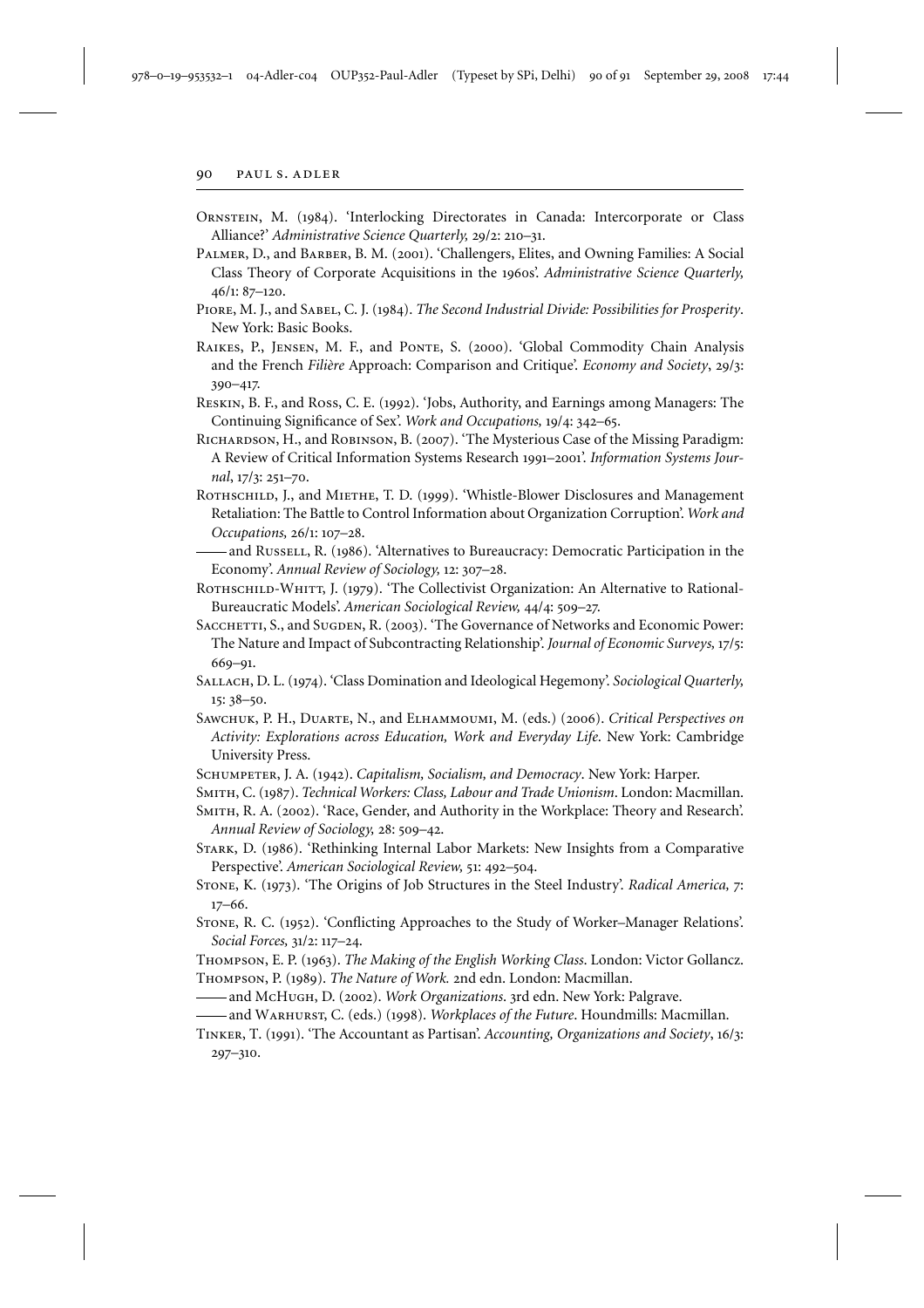- Ornstein, M. (1984). 'Interlocking Directorates in Canada: Intercorporate or Class Alliance?' *Administrative Science Quarterly,* 29/2: 210–31.
- Palmer, D., and Barber, B. M. (2001). 'Challengers, Elites, and Owning Families: A Social Class Theory of Corporate Acquisitions in the 1960s'. *Administrative Science Quarterly,* 46/1: 87–120.
- Piore, M. J., and Sabel, C. J. (1984). *The Second Industrial Divide: Possibilities for Prosperity*. New York: Basic Books.
- Raikes, P., Jensen, M. F., and Ponte, S. (2000). 'Global Commodity Chain Analysis and the French *Filière* Approach: Comparison and Critique'. *Economy and Society*, 29/3: 390–417.
- Reskin, B. F., and Ross, C. E. (1992). 'Jobs, Authority, and Earnings among Managers: The Continuing Significance of Sex'. *Work and Occupations,* 19/4: 342–65.
- Richardson, H., and Robinson, B. (2007). 'The Mysterious Case of the Missing Paradigm: A Review of Critical Information Systems Research 1991–2001'. *Information Systems Journal*, 17/3: 251–70.
- ROTHSCHILD, J., and MIETHE, T. D. (1999). 'Whistle-Blower Disclosures and Management Retaliation: The Battle to Control Information about Organization Corruption'. *Work and Occupations,* 26/1: 107–28.
- and Russell, R. (1986). 'Alternatives to Bureaucracy: Democratic Participation in the Economy'. *Annual Review of Sociology,* 12: 307–28.
- ROTHSCHILD-WHITT, J. (1979). 'The Collectivist Organization: An Alternative to Rational-Bureaucratic Models'. *American Sociological Review,* 44/4: 509–27.
- SACCHETTI, S., and SUGDEN, R. (2003). 'The Governance of Networks and Economic Power: The Nature and Impact of Subcontracting Relationship'. *Journal of Economic Surveys,* 17/5: 669–91.
- Sallach, D. L. (1974). 'Class Domination and Ideological Hegemony'. *Sociological Quarterly,* 15: 38–50.
- Sawchuk, P. H., Duarte, N., and Elhammoumi, M. (eds.) (2006). *Critical Perspectives on Activity: Explorations across Education, Work and Everyday Life*. New York: Cambridge University Press.
- Schumpeter, J. A. (1942). *Capitalism, Socialism, and Democracy*. New York: Harper.
- Smith, C. (1987). *Technical Workers: Class, Labour and Trade Unionism*. London: Macmillan.
- Smith, R. A. (2002). 'Race, Gender, and Authority in the Workplace: Theory and Research'. *Annual Review of Sociology,* 28: 509–42.
- Stark, D. (1986). 'Rethinking Internal Labor Markets: New Insights from a Comparative Perspective'. *American Sociological Review,* 51: 492–504.
- Stone, K. (1973). 'The Origins of Job Structures in the Steel Industry'. *Radical America,* 7: 17–66.
- Stone, R. C. (1952). 'Conflicting Approaches to the Study of Worker–Manager Relations'. *Social Forces,* 31/2: 117–24.
- Thompson, E. P. (1963). *The Making of the English Working Class*. London: Victor Gollancz. Thompson, P. (1989). *The Nature of Work.* 2nd edn. London: Macmillan.
- and McHugh, D. (2002). *Work Organizations*. 3rd edn. New York: Palgrave.
- and Warhurst, C. (eds.) (1998). *Workplaces of the Future*. Houndmills: Macmillan.
- Tinker, T. (1991). 'The Accountant as Partisan'. *Accounting, Organizations and Society*, 16/3: 297–310.